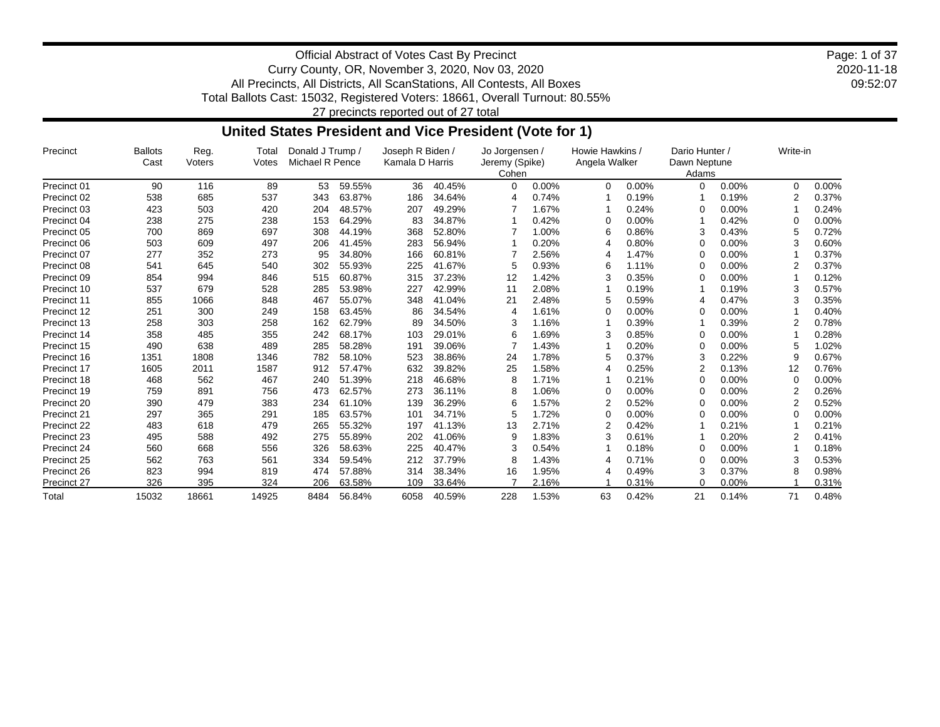2020-11-18 09:52:07 Page: 1 of 37

Official Abstract of Votes Cast By Precinct Curry County, OR, November 3, 2020, Nov 03, 2020 All Precincts, All Districts, All ScanStations, All Contests, All Boxes Total Ballots Cast: 15032, Registered Voters: 18661, Overall Turnout: 80.55%

27 precincts reported out of 27 total

### **United States President and Vice President (Vote for 1)**

| Precinct    | <b>Ballots</b><br>Cast | Reg.<br>Voters | Total<br>Votes | Donald J Trump /<br>Michael R Pence |        | Joseph R Biden /<br>Kamala D Harris |        | Jo Jorgensen /<br>Jeremy (Spike)<br>Cohen |       | Howie Hawkins /<br>Angela Walker |       | Dario Hunter /<br>Dawn Neptune<br>Adams |       | Write-in |       |
|-------------|------------------------|----------------|----------------|-------------------------------------|--------|-------------------------------------|--------|-------------------------------------------|-------|----------------------------------|-------|-----------------------------------------|-------|----------|-------|
| Precinct 01 | 90                     | 116            | 89             | 53                                  | 59.55% | 36                                  | 40.45% | 0                                         | 0.00% | $\Omega$                         | 0.00% | 0                                       | 0.00% | 0        | 0.00% |
| Precinct 02 | 538                    | 685            | 537            | 343                                 | 63.87% | 186                                 | 34.64% | 4                                         | 0.74% |                                  | 0.19% |                                         | 0.19% |          | 0.37% |
| Precinct 03 | 423                    | 503            | 420            | 204                                 | 48.57% | 207                                 | 49.29% |                                           | 1.67% |                                  | 0.24% | O                                       | 0.00% |          | 0.24% |
| Precinct 04 | 238                    | 275            | 238            | 153                                 | 64.29% | 83                                  | 34.87% |                                           | 0.42% | $\Omega$                         | 0.00% |                                         | 0.42% |          | 0.00% |
| Precinct 05 | 700                    | 869            | 697            | 308                                 | 44.19% | 368                                 | 52.80% |                                           | 1.00% | 6                                | 0.86% | 3                                       | 0.43% |          | 0.72% |
| Precinct 06 | 503                    | 609            | 497            | 206                                 | 41.45% | 283                                 | 56.94% |                                           | 0.20% | $\overline{4}$                   | 0.80% | 0                                       | 0.00% |          | 0.60% |
| Precinct 07 | 277                    | 352            | 273            | 95                                  | 34.80% | 166                                 | 60.81% |                                           | 2.56% | 4                                | 1.47% | ∩                                       | 0.00% |          | 0.37% |
| Precinct 08 | 541                    | 645            | 540            | 302                                 | 55.93% | 225                                 | 41.67% | 5                                         | 0.93% | 6                                | 1.11% | ∩                                       | 0.00% |          | 0.37% |
| Precinct 09 | 854                    | 994            | 846            | 515                                 | 60.87% | 315                                 | 37.23% | 12                                        | 1.42% | З                                | 0.35% | ∩                                       | 0.00% |          | 0.12% |
| Precinct 10 | 537                    | 679            | 528            | 285                                 | 53.98% | 227                                 | 42.99% | 11                                        | 2.08% |                                  | 0.19% |                                         | 0.19% |          | 0.57% |
| Precinct 11 | 855                    | 1066           | 848            | 467                                 | 55.07% | 348                                 | 41.04% | 21                                        | 2.48% | 5                                | 0.59% |                                         | 0.47% | 3        | 0.35% |
| Precinct 12 | 251                    | 300            | 249            | 158                                 | 63.45% | 86                                  | 34.54% | 4                                         | 1.61% | $\Omega$                         | 0.00% | ∩                                       | 0.00% |          | 0.40% |
| Precinct 13 | 258                    | 303            | 258            | 162                                 | 62.79% | 89                                  | 34.50% |                                           | 1.16% |                                  | 0.39% |                                         | 0.39% |          | 0.78% |
| Precinct 14 | 358                    | 485            | 355            | 242                                 | 68.17% | 103                                 | 29.01% | 6                                         | 1.69% | З                                | 0.85% | 0                                       | 0.00% |          | 0.28% |
| Precinct 15 | 490                    | 638            | 489            | 285                                 | 58.28% | 191                                 | 39.06% |                                           | 1.43% |                                  | 0.20% | ∩                                       | 0.00% |          | 1.02% |
| Precinct 16 | 1351                   | 1808           | 1346           | 782                                 | 58.10% | 523                                 | 38.86% | 24                                        | 1.78% | 5                                | 0.37% | 3                                       | 0.22% | 9        | 0.67% |
| Precinct 17 | 1605                   | 2011           | 1587           | 912                                 | 57.47% | 632                                 | 39.82% | 25                                        | 1.58% | 4                                | 0.25% |                                         | 0.13% | 12       | 0.76% |
| Precinct 18 | 468                    | 562            | 467            | 240                                 | 51.39% | 218                                 | 46.68% | 8                                         | 1.71% |                                  | 0.21% | ∩                                       | 0.00% | O        | 0.00% |
| Precinct 19 | 759                    | 891            | 756            | 473                                 | 62.57% | 273                                 | 36.11% | 8                                         | 1.06% | 0                                | 0.00% | ∩                                       | 0.00% |          | 0.26% |
| Precinct 20 | 390                    | 479            | 383            | 234                                 | 61.10% | 139                                 | 36.29% | 6                                         | 1.57% | 2                                | 0.52% | 0                                       | 0.00% |          | 0.52% |
| Precinct 21 | 297                    | 365            | 291            | 185                                 | 63.57% | 101                                 | 34.71% | 5                                         | 1.72% | $\Omega$                         | 0.00% |                                         | 0.00% |          | 0.00% |
| Precinct 22 | 483                    | 618            | 479            | 265                                 | 55.32% | 197                                 | 41.13% | 13                                        | 2.71% | $\overline{2}$                   | 0.42% |                                         | 0.21% |          | 0.21% |
| Precinct 23 | 495                    | 588            | 492            | 275                                 | 55.89% | 202                                 | 41.06% | 9                                         | 1.83% | З                                | 0.61% |                                         | 0.20% |          | 0.41% |
| Precinct 24 | 560                    | 668            | 556            | 326                                 | 58.63% | 225                                 | 40.47% |                                           | 0.54% |                                  | 0.18% | ∩                                       | 0.00% |          | 0.18% |
| Precinct 25 | 562                    | 763            | 561            | 334                                 | 59.54% | 212                                 | 37.79% | 8                                         | 1.43% | 4                                | 0.71% | 0                                       | 0.00% |          | 0.53% |
| Precinct 26 | 823                    | 994            | 819            | 474                                 | 57.88% | 314                                 | 38.34% | 16                                        | 1.95% | 4                                | 0.49% | 3                                       | 0.37% | 8        | 0.98% |
| Precinct 27 | 326                    | 395            | 324            | 206                                 | 63.58% | 109                                 | 33.64% |                                           | 2.16% |                                  | 0.31% | 0                                       | 0.00% |          | 0.31% |
| Total       | 15032                  | 18661          | 14925          | 8484                                | 56.84% | 6058                                | 40.59% | 228                                       | 1.53% | 63                               | 0.42% | 21                                      | 0.14% | 71       | 0.48% |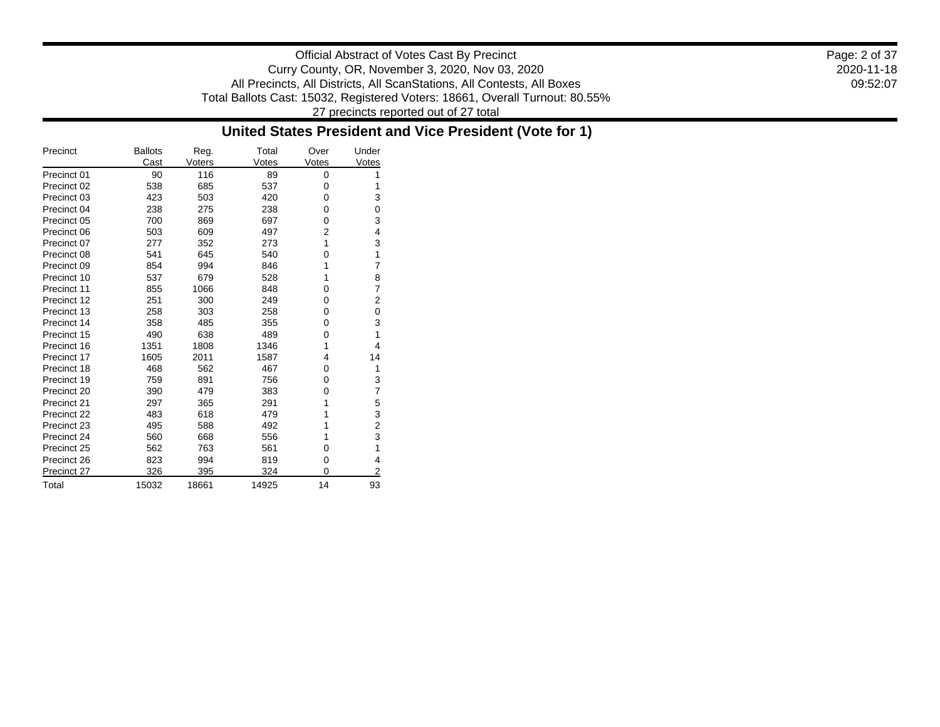Official Abstract of Votes Cast By Precinct Curry County, OR, November 3, 2020, Nov 03, 2020 All Precincts, All Districts, All ScanStations, All Contests, All Boxes Total Ballots Cast: 15032, Registered Voters: 18661, Overall Turnout: 80.55% 27 precincts reported out of 27 total

### **United States President and Vice President (Vote for 1)**

| Precinct    | <b>Ballots</b><br>Cast | Reg.<br>Voters | Total<br>Votes | Over<br>Votes | Under<br>Votes |
|-------------|------------------------|----------------|----------------|---------------|----------------|
| Precinct 01 | 90                     | 116            | 89             | 0             | 1              |
| Precinct 02 | 538                    | 685            | 537            | 0             | 1              |
| Precinct 03 | 423                    | 503            | 420            | 0             | 3              |
| Precinct 04 | 238                    | 275            | 238            | 0             | 0              |
| Precinct 05 | 700                    | 869            | 697            | 0             | 3              |
| Precinct 06 | 503                    | 609            | 497            | 2             | 4              |
| Precinct 07 | 277                    | 352            | 273            | 1             | 3              |
| Precinct 08 | 541                    | 645            | 540            | 0             | 1              |
| Precinct 09 | 854                    | 994            | 846            | 1             | 7              |
| Precinct 10 | 537                    | 679            | 528            | 1             | 8              |
| Precinct 11 | 855                    | 1066           | 848            | 0             | 7              |
| Precinct 12 | 251                    | 300            | 249            | 0             | 2              |
| Precinct 13 | 258                    | 303            | 258            | 0             | 0              |
| Precinct 14 | 358                    | 485            | 355            | 0             | 3              |
| Precinct 15 | 490                    | 638            | 489            | 0             | 1              |
| Precinct 16 | 1351                   | 1808           | 1346           | 1             | 4              |
| Precinct 17 | 1605                   | 2011           | 1587           | 4             | 14             |
| Precinct 18 | 468                    | 562            | 467            | 0             | 1              |
| Precinct 19 | 759                    | 891            | 756            | 0             | 3              |
| Precinct 20 | 390                    | 479            | 383            | 0             | 7              |
| Precinct 21 | 297                    | 365            | 291            | 1             | 5              |
| Precinct 22 | 483                    | 618            | 479            | 1             | 3              |
| Precinct 23 | 495                    | 588            | 492            | 1             | 2              |
| Precinct 24 | 560                    | 668            | 556            | 1             | 3              |
| Precinct 25 | 562                    | 763            | 561            | 0             | 1              |
| Precinct 26 | 823                    | 994            | 819            | 0             | 4              |
| Precinct 27 | 326                    | 395            | 324            | 0             | 2              |
| Total       | 15032                  | 18661          | 14925          | 14            | 93             |

2020-11-18 09:52:07 Page: 2 of 37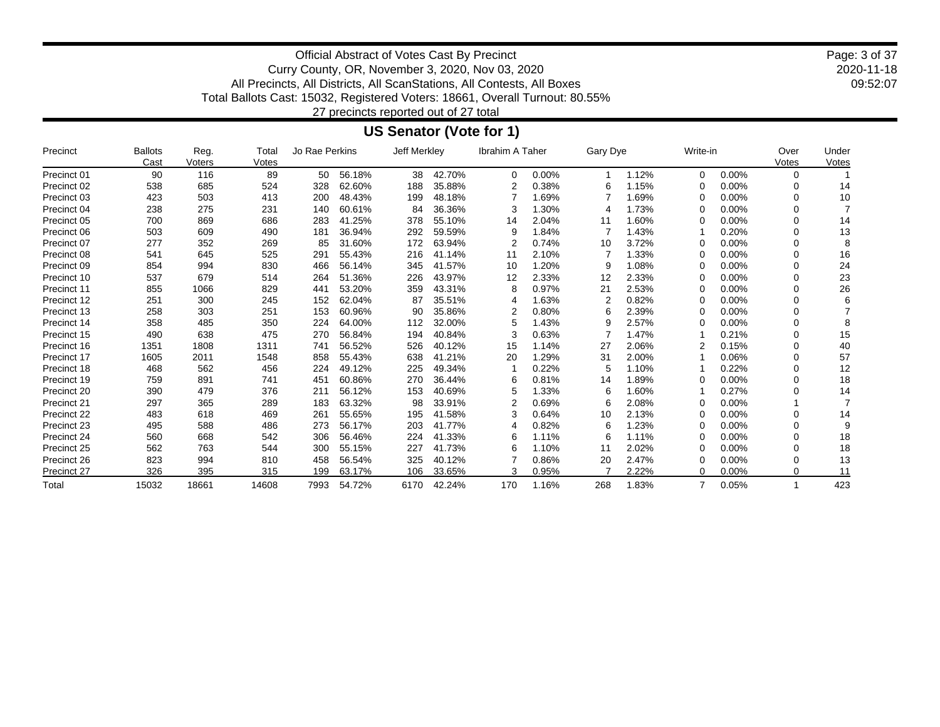2020-11-18 09:52:07 Page: 3 of 37

Official Abstract of Votes Cast By Precinct Curry County, OR, November 3, 2020, Nov 03, 2020 All Precincts, All Districts, All ScanStations, All Contests, All Boxes Total Ballots Cast: 15032, Registered Voters: 18661, Overall Turnout: 80.55%

27 precincts reported out of 27 total

### **US Senator (Vote for 1)**

| Precinct    | <b>Ballots</b><br>Cast | Reg.<br>Voters | Total<br>Votes | Jo Rae Perkins |        | Jeff Merkley |        | Ibrahim A Taher |       | Gary Dye |       | Write-in       |          | Over<br>Votes | Under<br>Votes |
|-------------|------------------------|----------------|----------------|----------------|--------|--------------|--------|-----------------|-------|----------|-------|----------------|----------|---------------|----------------|
| Precinct 01 | 90                     | 116            | 89             | 50             | 56.18% | 38           | 42.70% | 0               | 0.00% |          | 1.12% | $\Omega$       | 0.00%    | 0             |                |
| Precinct 02 | 538                    | 685            | 524            | 328            | 62.60% | 188          | 35.88% |                 | 0.38% | 6        | 1.15% | ∩              | 0.00%    | ∩             | 14             |
| Precinct 03 | 423                    | 503            | 413            | 200            | 48.43% | 199          | 48.18% |                 | 1.69% |          | 1.69% | $\Omega$       | 0.00%    | 0             | 10             |
| Precinct 04 | 238                    | 275            | 231            | 140            | 60.61% | 84           | 36.36% | З               | 1.30% |          | 1.73% | ∩              | 0.00%    | 0             |                |
| Precinct 05 | 700                    | 869            | 686            | 283            | 41.25% | 378          | 55.10% | 14              | 2.04% | 11       | 1.60% | ∩              | 0.00%    | 0             | 14             |
| Precinct 06 | 503                    | 609            | 490            | 181            | 36.94% | 292          | 59.59% | 9               | 1.84% |          | 1.43% |                | 0.20%    | 0             | 13             |
| Precinct 07 | 277                    | 352            | 269            | 85             | 31.60% | 172          | 63.94% |                 | 0.74% | 10       | 3.72% | ∩              | 0.00%    | ∩             | 8              |
| Precinct 08 | 541                    | 645            | 525            | 291            | 55.43% | 216          | 41.14% | 11              | 2.10% |          | 1.33% | ∩              | 0.00%    | 0             | 16             |
| Precinct 09 | 854                    | 994            | 830            | 466            | 56.14% | 345          | 41.57% | 10              | 1.20% | 9        | 1.08% | ∩              | 0.00%    | ∩             | 24             |
| Precinct 10 | 537                    | 679            | 514            | 264            | 51.36% | 226          | 43.97% | 12              | 2.33% | 12       | 2.33% | ∩              | 0.00%    |               | 23             |
| Precinct 11 | 855                    | 1066           | 829            | 441            | 53.20% | 359          | 43.31% | 8               | 0.97% | 21       | 2.53% | ∩              | 0.00%    | 0             | 26             |
| Precinct 12 | 251                    | 300            | 245            | 152            | 62.04% | 87           | 35.51% | 4               | 1.63% | 2        | 0.82% | ∩              | 0.00%    |               | 6              |
| Precinct 13 | 258                    | 303            | 251            | 153            | 60.96% | 90           | 35.86% |                 | 0.80% | 6        | 2.39% | ∩              | 0.00%    | 0             |                |
| Precinct 14 | 358                    | 485            | 350            | 224            | 64.00% | 112          | 32.00% | 5               | 1.43% | 9        | 2.57% | ∩              | 0.00%    | 0             | 8              |
| Precinct 15 | 490                    | 638            | 475            | 270            | 56.84% | 194          | 40.84% |                 | 0.63% |          | 1.47% |                | 0.21%    | $\Omega$      | 15             |
| Precinct 16 | 1351                   | 1808           | 1311           | 741            | 56.52% | 526          | 40.12% | 15              | 1.14% | 27       | 2.06% | 2              | 0.15%    | 0             | 40             |
| Precinct 17 | 1605                   | 2011           | 1548           | 858            | 55.43% | 638          | 41.21% | 20              | 1.29% | 31       | 2.00% |                | 0.06%    | 0             | 57             |
| Precinct 18 | 468                    | 562            | 456            | 224            | 49.12% | 225          | 49.34% |                 | 0.22% | 5        | 1.10% |                | 0.22%    |               | 12             |
| Precinct 19 | 759                    | 891            | 741            | 451            | 60.86% | 270          | 36.44% | 6               | 0.81% | 14       | 1.89% |                | 0.00%    |               | 18             |
| Precinct 20 | 390                    | 479            | 376            | 211            | 56.12% | 153          | 40.69% | 5               | 1.33% | 6        | 1.60% |                | 0.27%    |               | 14             |
| Precinct 21 | 297                    | 365            | 289            | 183            | 63.32% | 98           | 33.91% | 2               | 0.69% | 6        | 2.08% | ∩              | 0.00%    |               |                |
| Precinct 22 | 483                    | 618            | 469            | 261            | 55.65% | 195          | 41.58% | З               | 0.64% | 10       | 2.13% | ∩              | 0.00%    | 0             | 14             |
| Precinct 23 | 495                    | 588            | 486            | 273            | 56.17% | 203          | 41.77% | 4               | 0.82% | 6        | 1.23% | $\Omega$       | 0.00%    | 0             | 9              |
| Precinct 24 | 560                    | 668            | 542            | 306            | 56.46% | 224          | 41.33% | 6               | 1.11% | 6        | 1.11% | ∩              | 0.00%    | $\Omega$      | 18             |
| Precinct 25 | 562                    | 763            | 544            | 300            | 55.15% | 227          | 41.73% | 6               | 1.10% | 11       | 2.02% | ∩              | 0.00%    | ∩             | 18             |
| Precinct 26 | 823                    | 994            | 810            | 458            | 56.54% | 325          | 40.12% |                 | 0.86% | 20       | 2.47% | ∩              | $0.00\%$ | 0             | 13             |
| Precinct 27 | 326                    | 395            | 315            | 199            | 63.17% | 106          | 33.65% | 3               | 0.95% |          | 2.22% | $\Omega$       | 0.00%    | 0             | 11             |
| Total       | 15032                  | 18661          | 14608          | 7993           | 54.72% | 6170         | 42.24% | 170             | 1.16% | 268      | 1.83% | $\overline{7}$ | 0.05%    |               | 423            |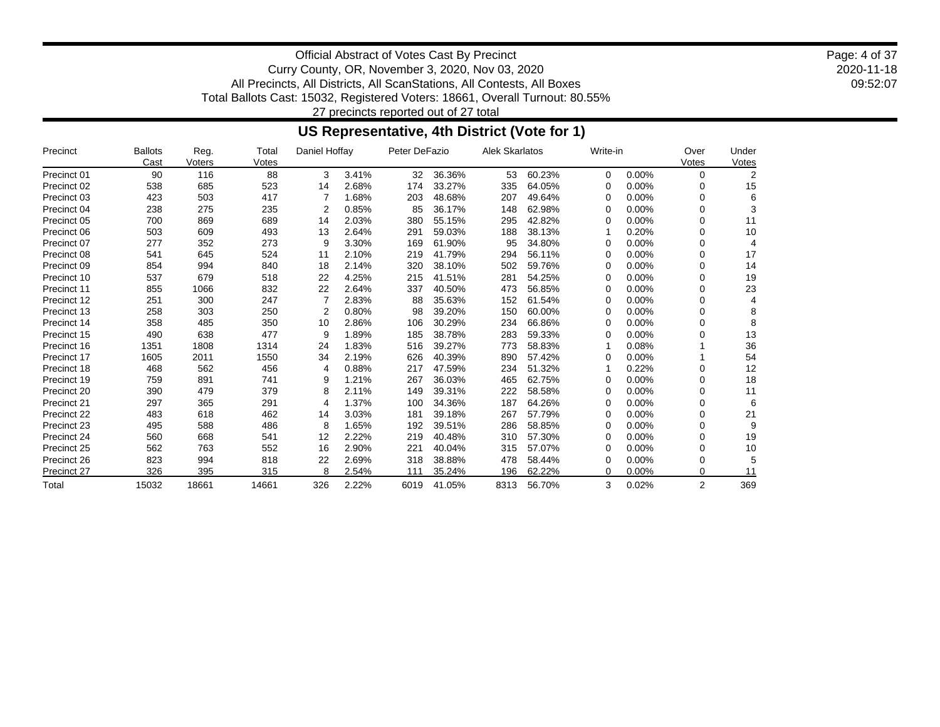2020-11-18 09:52:07 Page: 4 of 37

Official Abstract of Votes Cast By Precinct Curry County, OR, November 3, 2020, Nov 03, 2020 All Precincts, All Districts, All ScanStations, All Contests, All Boxes Total Ballots Cast: 15032, Registered Voters: 18661, Overall Turnout: 80.55% 27 precincts reported out of 27 total

# **US Representative, 4th District (Vote for 1)**

| Precinct    | <b>Ballots</b><br>Cast | Reg.<br>Voters | Total<br>Votes | Daniel Hoffay |       | Peter DeFazio |        | <b>Alek Skarlatos</b> |        | Write-in |          | Over<br>Votes  | Under<br>Votes |
|-------------|------------------------|----------------|----------------|---------------|-------|---------------|--------|-----------------------|--------|----------|----------|----------------|----------------|
| Precinct 01 | 90                     | 116            | 88             | 3             | 3.41% | 32            | 36.36% | 53                    | 60.23% | $\Omega$ | 0.00%    | 0              | 2              |
| Precinct 02 | 538                    | 685            | 523            | 14            | 2.68% | 174           | 33.27% | 335                   | 64.05% | 0        | 0.00%    | 0              | 15             |
| Precinct 03 | 423                    | 503            | 417            | 7             | 1.68% | 203           | 48.68% | 207                   | 49.64% | 0        | 0.00%    | 0              | 6              |
| Precinct 04 | 238                    | 275            | 235            | 2             | 0.85% | 85            | 36.17% | 148                   | 62.98% | 0        | $0.00\%$ | 0              | 3              |
| Precinct 05 | 700                    | 869            | 689            | 14            | 2.03% | 380           | 55.15% | 295                   | 42.82% | 0        | $0.00\%$ | ŋ              | 11             |
| Precinct 06 | 503                    | 609            | 493            | 13            | 2.64% | 291           | 59.03% | 188                   | 38.13% |          | 0.20%    | ŋ              | 10             |
| Precinct 07 | 277                    | 352            | 273            | 9             | 3.30% | 169           | 61.90% | 95                    | 34.80% | 0        | 0.00%    | 0              |                |
| Precinct 08 | 541                    | 645            | 524            | 11            | 2.10% | 219           | 41.79% | 294                   | 56.11% |          | 0.00%    | 0              | 17             |
| Precinct 09 | 854                    | 994            | 840            | 18            | 2.14% | 320           | 38.10% | 502                   | 59.76% | 0        | 0.00%    | 0              | 14             |
| Precinct 10 | 537                    | 679            | 518            | 22            | 4.25% | 215           | 41.51% | 281                   | 54.25% |          | $0.00\%$ | 0              | 19             |
| Precinct 11 | 855                    | 1066           | 832            | 22            | 2.64% | 337           | 40.50% | 473                   | 56.85% | O        | 0.00%    | 0              | 23             |
| Precinct 12 | 251                    | 300            | 247            | 7             | 2.83% | 88            | 35.63% | 152                   | 61.54% | 0        | 0.00%    | 0              |                |
| Precinct 13 | 258                    | 303            | 250            | 2             | 0.80% | 98            | 39.20% | 150                   | 60.00% | 0        | 0.00%    | 0              |                |
| Precinct 14 | 358                    | 485            | 350            | 10            | 2.86% | 106           | 30.29% | 234                   | 66.86% | 0        | 0.00%    | 0              |                |
| Precinct 15 | 490                    | 638            | 477            | 9             | 1.89% | 185           | 38.78% | 283                   | 59.33% |          | 0.00%    | ŋ              | 13             |
| Precinct 16 | 1351                   | 1808           | 1314           | 24            | 1.83% | 516           | 39.27% | 773                   | 58.83% |          | 0.08%    |                | 36             |
| Precinct 17 | 1605                   | 2011           | 1550           | 34            | 2.19% | 626           | 40.39% | 890                   | 57.42% |          | 0.00%    |                | 54             |
| Precinct 18 | 468                    | 562            | 456            | 4             | 0.88% | 217           | 47.59% | 234                   | 51.32% |          | 0.22%    | 0              | 12             |
| Precinct 19 | 759                    | 891            | 741            | 9             | 1.21% | 267           | 36.03% | 465                   | 62.75% |          | 0.00%    | 0              | 18             |
| Precinct 20 | 390                    | 479            | 379            | 8             | 2.11% | 149           | 39.31% | 222                   | 58.58% | O        | 0.00%    | 0              | 11             |
| Precinct 21 | 297                    | 365            | 291            | 4             | 1.37% | 100           | 34.36% | 187                   | 64.26% | 0        | 0.00%    | 0              | 6              |
| Precinct 22 | 483                    | 618            | 462            | 14            | 3.03% | 181           | 39.18% | 267                   | 57.79% | 0        | 0.00%    | 0              | 21             |
| Precinct 23 | 495                    | 588            | 486            | 8             | 1.65% | 192           | 39.51% | 286                   | 58.85% | 0        | $0.00\%$ | 0              | 9              |
| Precinct 24 | 560                    | 668            | 541            | 12            | 2.22% | 219           | 40.48% | 310                   | 57.30% | 0        | 0.00%    | 0              | 19             |
| Precinct 25 | 562                    | 763            | 552            | 16            | 2.90% | 221           | 40.04% | 315                   | 57.07% | 0        | 0.00%    | 0              | 10             |
| Precinct 26 | 823                    | 994            | 818            | 22            | 2.69% | 318           | 38.88% | 478                   | 58.44% | 0        | 0.00%    | 0              | 5              |
| Precinct 27 | 326                    | 395            | 315            | 8             | 2.54% | 111           | 35.24% | 196                   | 62.22% | 0        | 0.00%    | 0              | 11             |
| Total       | 15032                  | 18661          | 14661          | 326           | 2.22% | 6019          | 41.05% | 8313                  | 56.70% | 3        | 0.02%    | $\overline{2}$ | 369            |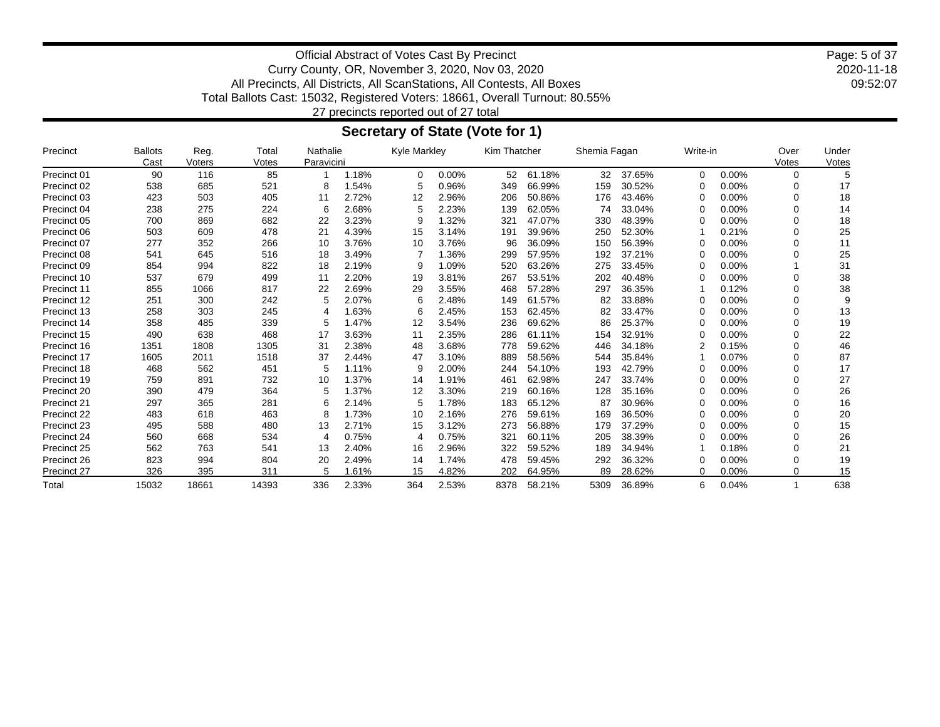2020-11-18 09:52:07 Page: 5 of 37

Official Abstract of Votes Cast By Precinct Curry County, OR, November 3, 2020, Nov 03, 2020 All Precincts, All Districts, All ScanStations, All Contests, All Boxes Total Ballots Cast: 15032, Registered Voters: 18661, Overall Turnout: 80.55% 27 precincts reported out of 27 total

### **Secretary of State (Vote for 1)**

| Precinct    | <b>Ballots</b><br>Cast | Reg.<br>Voters | Total<br>Votes | Nathalie<br>Paravicini |       | <b>Kyle Markley</b> |       | Kim Thatcher |        | Shemia Fagan |        | Write-in |          | Over<br>Votes | Under<br>Votes |
|-------------|------------------------|----------------|----------------|------------------------|-------|---------------------|-------|--------------|--------|--------------|--------|----------|----------|---------------|----------------|
| Precinct 01 | 90                     | 116            | 85             |                        | 1.18% | $\Omega$            | 0.00% | 52           | 61.18% | 32           | 37.65% | $\Omega$ | 0.00%    | 0             |                |
| Precinct 02 | 538                    | 685            | 521            | 8                      | 1.54% | 5                   | 0.96% | 349          | 66.99% | 159          | 30.52% | ∩        | 0.00%    | O             | 17             |
| Precinct 03 | 423                    | 503            | 405            | 11                     | 2.72% | 12                  | 2.96% | 206          | 50.86% | 176          | 43.46% | ∩        | 0.00%    |               | 18             |
| Precinct 04 | 238                    | 275            | 224            | 6                      | 2.68% | 5                   | 2.23% | 139          | 62.05% | 74           | 33.04% | ∩        | 0.00%    | ∩             | 14             |
| Precinct 05 | 700                    | 869            | 682            | 22                     | 3.23% | 9                   | 1.32% | 321          | 47.07% | 330          | 48.39% | ∩        | 0.00%    |               | 18             |
| Precinct 06 | 503                    | 609            | 478            | 21                     | 4.39% | 15                  | 3.14% | 191          | 39.96% | 250          | 52.30% |          | 0.21%    | ∩             | 25             |
| Precinct 07 | 277                    | 352            | 266            | 10                     | 3.76% | 10                  | 3.76% | 96           | 36.09% | 150          | 56.39% | 0        | 0.00%    | 0             | 11             |
| Precinct 08 | 541                    | 645            | 516            | 18                     | 3.49% |                     | 1.36% | 299          | 57.95% | 192          | 37.21% | ∩        | $0.00\%$ | 0             | 25             |
| Precinct 09 | 854                    | 994            | 822            | 18                     | 2.19% | 9                   | 1.09% | 520          | 63.26% | 275          | 33.45% | ∩        | 0.00%    |               | 31             |
| Precinct 10 | 537                    | 679            | 499            | 11                     | 2.20% | 19                  | 3.81% | 267          | 53.51% | 202          | 40.48% | n        | $0.00\%$ | O             | 38             |
| Precinct 11 | 855                    | 1066           | 817            | 22                     | 2.69% | 29                  | 3.55% | 468          | 57.28% | 297          | 36.35% |          | 0.12%    |               | 38             |
| Precinct 12 | 251                    | 300            | 242            | 5                      | 2.07% | 6                   | 2.48% | 149          | 61.57% | 82           | 33.88% | ∩        | 0.00%    |               | 9              |
| Precinct 13 | 258                    | 303            | 245            | 4                      | 1.63% | 6                   | 2.45% | 153          | 62.45% | 82           | 33.47% | ∩        | 0.00%    | ∩             | 13             |
| Precinct 14 | 358                    | 485            | 339            | 5                      | 1.47% | 12                  | 3.54% | 236          | 69.62% | 86           | 25.37% | 0        | 0.00%    | 0             | 19             |
| Precinct 15 | 490                    | 638            | 468            | 17                     | 3.63% | 11                  | 2.35% | 286          | 61.11% | 154          | 32.91% | ∩        | 0.00%    | $\Omega$      | 22             |
| Precinct 16 | 1351                   | 1808           | 1305           | 31                     | 2.38% | 48                  | 3.68% | 778          | 59.62% | 446          | 34.18% | 2        | 0.15%    | 0             | 46             |
| Precinct 17 | 1605                   | 2011           | 1518           | 37                     | 2.44% | 47                  | 3.10% | 889          | 58.56% | 544          | 35.84% |          | 0.07%    | $\Omega$      | 87             |
| Precinct 18 | 468                    | 562            | 451            | 5                      | 1.11% | 9                   | 2.00% | 244          | 54.10% | 193          | 42.79% | ∩        | 0.00%    | O             | 17             |
| Precinct 19 | 759                    | 891            | 732            | 10                     | 1.37% | 14                  | 1.91% | 461          | 62.98% | 247          | 33.74% | ∩        | 0.00%    |               | 27             |
| Precinct 20 | 390                    | 479            | 364            | 5                      | 1.37% | 12                  | 3.30% | 219          | 60.16% | 128          | 35.16% | ∩        | $0.00\%$ |               | 26             |
| Precinct 21 | 297                    | 365            | 281            | 6                      | 2.14% | 5                   | 1.78% | 183          | 65.12% | 87           | 30.96% | ∩        | 0.00%    |               | 16             |
| Precinct 22 | 483                    | 618            | 463            | 8                      | 1.73% | 10                  | 2.16% | 276          | 59.61% | 169          | 36.50% | ∩        | 0.00%    | 0             | 20             |
| Precinct 23 | 495                    | 588            | 480            | 13                     | 2.71% | 15                  | 3.12% | 273          | 56.88% | 179          | 37.29% | ∩        | 0.00%    | 0             | 15             |
| Precinct 24 | 560                    | 668            | 534            | 4                      | 0.75% | 4                   | 0.75% | 321          | 60.11% | 205          | 38.39% | ∩        | $0.00\%$ | $\Omega$      | 26             |
| Precinct 25 | 562                    | 763            | 541            | 13                     | 2.40% | 16                  | 2.96% | 322          | 59.52% | 189          | 34.94% |          | 0.18%    | 0             | 21             |
| Precinct 26 | 823                    | 994            | 804            | 20                     | 2.49% | 14                  | 1.74% | 478          | 59.45% | 292          | 36.32% | ∩        | 0.00%    | 0             | 19             |
| Precinct 27 | 326                    | 395            | 311            | 5                      | 1.61% | 15                  | 4.82% | 202          | 64.95% | 89           | 28.62% | $\Omega$ | 0.00%    | 0             | 15             |
| Total       | 15032                  | 18661          | 14393          | 336                    | 2.33% | 364                 | 2.53% | 8378         | 58.21% | 5309         | 36.89% | 6        | 0.04%    |               | 638            |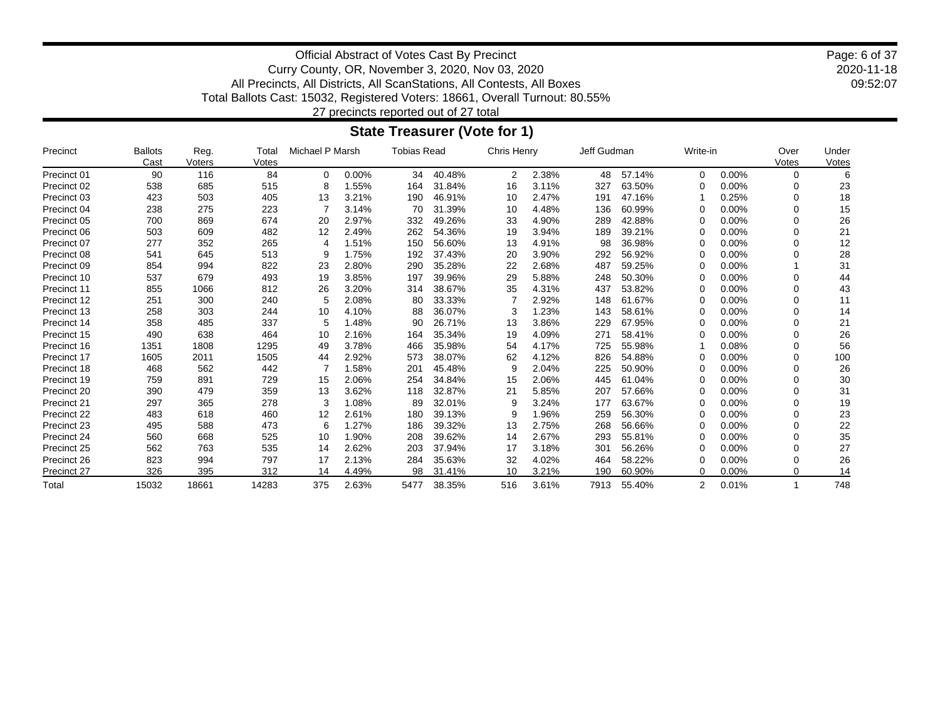2020-11-18 09:52:07 Page: 6 of 37

Official Abstract of Votes Cast By Precinct Curry County, OR, November 3, 2020, Nov 03, 2020 All Precincts, All Districts, All ScanStations, All Contests, All Boxes Total Ballots Cast: 15032, Registered Voters: 18661, Overall Turnout: 80.55%

27 precincts reported out of 27 total

### **State Treasurer (Vote for 1)**

| Precinct    | <b>Ballots</b><br>Cast | Reg.<br>Voters | Total<br>Votes | Michael P Marsh |       | <b>Tobias Read</b> |        | Chris Henry |       | Jeff Gudman |        | Write-in |          | Over<br>Votes | Under<br>Votes |
|-------------|------------------------|----------------|----------------|-----------------|-------|--------------------|--------|-------------|-------|-------------|--------|----------|----------|---------------|----------------|
| Precinct 01 | 90                     | 116            | 84             | $\Omega$        | 0.00% | 34                 | 40.48% | 2           | 2.38% | 48          | 57.14% | $\Omega$ | $0.00\%$ | $\Omega$      | 6              |
| Precinct 02 | 538                    | 685            | 515            | 8               | 1.55% | 164                | 31.84% | 16          | 3.11% | 327         | 63.50% | ∩        | $0.00\%$ | n             | 23             |
| Precinct 03 | 423                    | 503            | 405            | 13              | 3.21% | 190                | 46.91% | 10          | 2.47% | 191         | 47.16% |          | 0.25%    | O             | 18             |
| Precinct 04 | 238                    | 275            | 223            |                 | 3.14% | 70                 | 31.39% | 10          | 4.48% | 136         | 60.99% | ∩        | 0.00%    | O             | 15             |
| Precinct 05 | 700                    | 869            | 674            | 20              | 2.97% | 332                | 49.26% | 33          | 4.90% | 289         | 42.88% | 0        | 0.00%    |               | 26             |
| Precinct 06 | 503                    | 609            | 482            | 12              | 2.49% | 262                | 54.36% | 19          | 3.94% | 189         | 39.21% | ∩        | 0.00%    | <sup>n</sup>  | 21             |
| Precinct 07 | 277                    | 352            | 265            | 4               | 1.51% | 150                | 56.60% | 13          | 4.91% | 98          | 36.98% | 0        | 0.00%    | $\Omega$      | 12             |
| Precinct 08 | 541                    | 645            | 513            | 9               | 1.75% | 192                | 37.43% | 20          | 3.90% | 292         | 56.92% | ∩        | $0.00\%$ | $\Omega$      | 28             |
| Precinct 09 | 854                    | 994            | 822            | 23              | 2.80% | 290                | 35.28% | 22          | 2.68% | 487         | 59.25% | ∩        | 0.00%    |               | 31             |
| Precinct 10 | 537                    | 679            | 493            | 19              | 3.85% | 197                | 39.96% | 29          | 5.88% | 248         | 50.30% | ∩        | $0.00\%$ | $\Omega$      | 44             |
| Precinct 11 | 855                    | 1066           | 812            | 26              | 3.20% | 314                | 38.67% | 35          | 4.31% | 437         | 53.82% | ∩        | 0.00%    | $\Omega$      | 43             |
| Precinct 12 | 251                    | 300            | 240            | 5               | 2.08% | 80                 | 33.33% |             | 2.92% | 148         | 61.67% | 0        | 0.00%    | 0             | 11             |
| Precinct 13 | 258                    | 303            | 244            | 10              | 4.10% | 88                 | 36.07% | 3           | .23%  | 143         | 58.61% | ∩        | 0.00%    | O             | 14             |
| Precinct 14 | 358                    | 485            | 337            | 5               | 1.48% | 90                 | 26.71% | 13          | 3.86% | 229         | 67.95% | 0        | 0.00%    | $\Omega$      | 21             |
| Precinct 15 | 490                    | 638            | 464            | 10              | 2.16% | 164                | 35.34% | 19          | 4.09% | 271         | 58.41% | ∩        | 0.00%    | $\Omega$      | 26             |
| Precinct 16 | 1351                   | 1808           | 1295           | 49              | 3.78% | 466                | 35.98% | 54          | 4.17% | 725         | 55.98% |          | 0.08%    | $\Omega$      | 56             |
| Precinct 17 | 1605                   | 2011           | 1505           | 44              | 2.92% | 573                | 38.07% | 62          | 4.12% | 826         | 54.88% | ∩        | $0.00\%$ | $\Omega$      | 100            |
| Precinct 18 | 468                    | 562            | 442            |                 | 1.58% | 201                | 45.48% | 9           | 2.04% | 225         | 50.90% | 0        | 0.00%    | $\Omega$      | 26             |
| Precinct 19 | 759                    | 891            | 729            | 15              | 2.06% | 254                | 34.84% | 15          | 2.06% | 445         | 61.04% | 0        | $0.00\%$ | 0             | 30             |
| Precinct 20 | 390                    | 479            | 359            | 13              | 3.62% | 118                | 32.87% | 21          | 5.85% | 207         | 57.66% | ∩        | $0.00\%$ | ∩             | 31             |
| Precinct 21 | 297                    | 365            | 278            | 3               | 1.08% | 89                 | 32.01% | 9           | 3.24% | 177         | 63.67% | O        | 0.00%    | 0             | 19             |
| Precinct 22 | 483                    | 618            | 460            | 12              | 2.61% | 180                | 39.13% | 9           | 1.96% | 259         | 56.30% | ∩        | 0.00%    | $\Omega$      | 23             |
| Precinct 23 | 495                    | 588            | 473            | 6               | 1.27% | 186                | 39.32% | 13          | 2.75% | 268         | 56.66% | 0        | 0.00%    | $\Omega$      | 22             |
| Precinct 24 | 560                    | 668            | 525            | 10              | 1.90% | 208                | 39.62% | 14          | 2.67% | 293         | 55.81% | $\Omega$ | $0.00\%$ | $\Omega$      | 35             |
| Precinct 25 | 562                    | 763            | 535            | 14              | 2.62% | 203                | 37.94% | 17          | 3.18% | 301         | 56.26% | 0        | 0.00%    | <sup>n</sup>  | 27             |
| Precinct 26 | 823                    | 994            | 797            | 17              | 2.13% | 284                | 35.63% | 32          | 4.02% | 464         | 58.22% | O        | $0.00\%$ | 0             | 26             |
| Precinct 27 | 326                    | 395            | 312            | 14              | 4.49% | 98                 | 31.41% | 10          | 3.21% | 190         | 60.90% | $\Omega$ | 0.00%    | 0             | 14             |
| Total       | 15032                  | 18661          | 14283          | 375             | 2.63% | 5477               | 38.35% | 516         | 3.61% | 7913        | 55.40% | 2        | 0.01%    |               | 748            |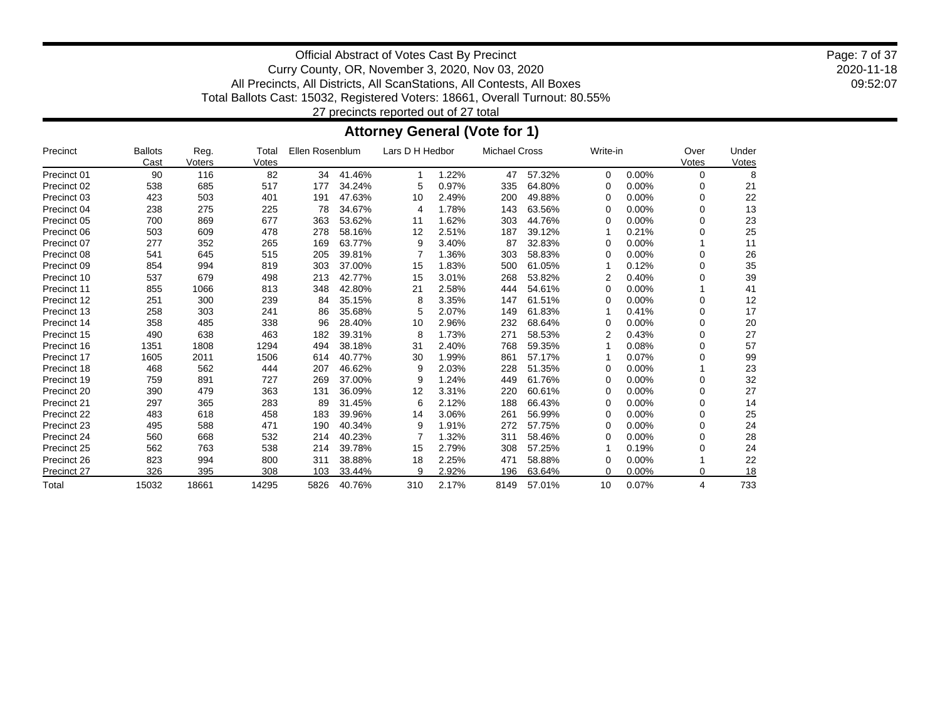2020-11-18 09:52:07 Page: 7 of 37

Official Abstract of Votes Cast By Precinct Curry County, OR, November 3, 2020, Nov 03, 2020 All Precincts, All Districts, All ScanStations, All Contests, All Boxes Total Ballots Cast: 15032, Registered Voters: 18661, Overall Turnout: 80.55% 27 precincts reported out of 27 total

**Attorney General (Vote for 1)**

| Precinct           | <b>Ballots</b><br>Cast | Reg.<br>Voters | Total<br>Votes | Ellen Rosenblum |        | Lars D H Hedbor |       | <b>Michael Cross</b> |        | Write-in |       | Over<br>Votes | Under<br>Votes |
|--------------------|------------------------|----------------|----------------|-----------------|--------|-----------------|-------|----------------------|--------|----------|-------|---------------|----------------|
| Precinct 01        | 90                     | 116            | 82             | 34              | 41.46% |                 | 1.22% | 47                   | 57.32% | $\Omega$ | 0.00% | 0             | 8              |
| Precinct 02        | 538                    | 685            | 517            | 177             | 34.24% | 5               | 0.97% | 335                  | 64.80% | $\Omega$ | 0.00% | 0             | 21             |
| Precinct 03        | 423                    | 503            | 401            | 191             | 47.63% | 10              | 2.49% | 200                  | 49.88% | 0        | 0.00% | 0             | 22             |
| Precinct 04        | 238                    | 275            | 225            | 78              | 34.67% | 4               | 1.78% | 143                  | 63.56% | 0        | 0.00% | ი             | 13             |
| Precinct 05        | 700                    | 869            | 677            | 363             | 53.62% | 11              | 1.62% | 303                  | 44.76% | 0        | 0.00% | O             | 23             |
| Precinct 06        | 503                    | 609            | 478            | 278             | 58.16% | 12              | 2.51% | 187                  | 39.12% |          | 0.21% | ი             | 25             |
| Precinct 07        | 277                    | 352            | 265            | 169             | 63.77% | 9               | 3.40% | 87                   | 32.83% | 0        | 0.00% |               | 11             |
| Precinct 08        | 541                    | 645            | 515            | 205             | 39.81% |                 | 1.36% | 303                  | 58.83% | 0        | 0.00% | 0             | 26             |
| Precinct 09        | 854                    | 994            | 819            | 303             | 37.00% | 15              | 1.83% | 500                  | 61.05% |          | 0.12% | ი             | 35             |
| Precinct 10        | 537                    | 679            | 498            | 213             | 42.77% | 15              | 3.01% | 268                  | 53.82% | 2        | 0.40% | ი             | 39             |
| Precinct 11        | 855                    | 1066           | 813            | 348             | 42.80% | 21              | 2.58% | 444                  | 54.61% | 0        | 0.00% |               | 41             |
| Precinct 12        | 251                    | 300            | 239            | 84              | 35.15% | 8               | 3.35% | 147                  | 61.51% | 0        | 0.00% | 0             | 12             |
| Precinct 13        | 258                    | 303            | 241            | 86              | 35.68% | 5               | 2.07% | 149                  | 61.83% |          | 0.41% | 0             | 17             |
| Precinct 14        | 358                    | 485            | 338            | 96              | 28.40% | 10              | 2.96% | 232                  | 68.64% | 0        | 0.00% | ი             | 20             |
| Precinct 15        | 490                    | 638            | 463            | 182             | 39.31% | 8               | 1.73% | 271                  | 58.53% | 2        | 0.43% | O             | 27             |
| Precinct 16        | 1351                   | 1808           | 1294           | 494             | 38.18% | 31              | 2.40% | 768                  | 59.35% |          | 0.08% | ი             | 57             |
| <b>Precinct 17</b> | 1605                   | 2011           | 1506           | 614             | 40.77% | 30              | 1.99% | 861                  | 57.17% |          | 0.07% | ი             | 99             |
| Precinct 18        | 468                    | 562            | 444            | 207             | 46.62% | 9               | 2.03% | 228                  | 51.35% | 0        | 0.00% |               | 23             |
| Precinct 19        | 759                    | 891            | 727            | 269             | 37.00% | 9               | 1.24% | 449                  | 61.76% | 0        | 0.00% | O             | 32             |
| Precinct 20        | 390                    | 479            | 363            | 131             | 36.09% | 12              | 3.31% | 220                  | 60.61% | 0        | 0.00% | 0             | 27             |
| Precinct 21        | 297                    | 365            | 283            | 89              | 31.45% | 6               | 2.12% | 188                  | 66.43% | 0        | 0.00% | 0             | 14             |
| Precinct 22        | 483                    | 618            | 458            | 183             | 39.96% | 14              | 3.06% | 261                  | 56.99% | 0        | 0.00% | 0             | 25             |
| Precinct 23        | 495                    | 588            | 471            | 190             | 40.34% | 9               | 1.91% | 272                  | 57.75% | 0        | 0.00% | 0             | 24             |
| Precinct 24        | 560                    | 668            | 532            | 214             | 40.23% |                 | 1.32% | 311                  | 58.46% | 0        | 0.00% | 0             | 28             |
| Precinct 25        | 562                    | 763            | 538            | 214             | 39.78% | 15              | 2.79% | 308                  | 57.25% |          | 0.19% | ი             | 24             |
| Precinct 26        | 823                    | 994            | 800            | 311             | 38.88% | 18              | 2.25% | 471                  | 58.88% | 0        | 0.00% |               | 22             |
| Precinct 27        | 326                    | 395            | 308            | 103             | 33.44% | 9               | 2.92% | 196                  | 63.64% | $\Omega$ | 0.00% | 0             | 18             |
| Total              | 15032                  | 18661          | 14295          | 5826            | 40.76% | 310             | 2.17% | 8149                 | 57.01% | 10       | 0.07% | 4             | 733            |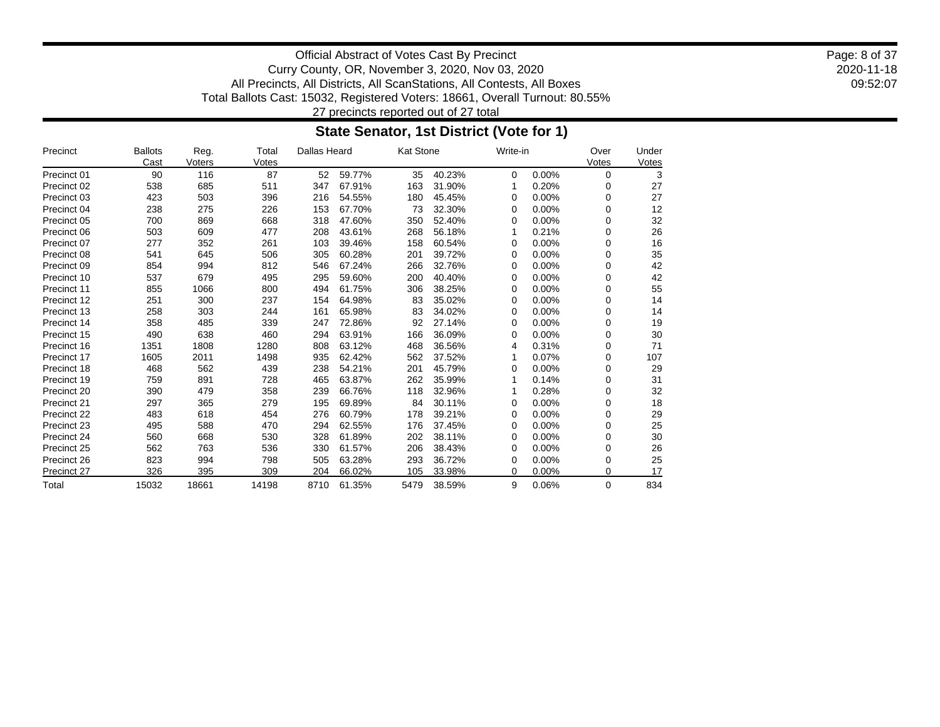2020-11-18 09:52:07 Page: 8 of 37

Official Abstract of Votes Cast By Precinct Curry County, OR, November 3, 2020, Nov 03, 2020 All Precincts, All Districts, All ScanStations, All Contests, All Boxes Total Ballots Cast: 15032, Registered Voters: 18661, Overall Turnout: 80.55% 27 precincts reported out of 27 total

### **State Senator, 1st District (Vote for 1)**

| Precinct    | <b>Ballots</b> | Reg.   | Total | Dallas Heard |        | <b>Kat Stone</b> |        | Write-in |          | Over     | Under |
|-------------|----------------|--------|-------|--------------|--------|------------------|--------|----------|----------|----------|-------|
|             | Cast           | Voters | Votes |              |        |                  |        |          |          | Votes    | Votes |
| Precinct 01 | 90             | 116    | 87    | 52           | 59.77% | 35               | 40.23% | 0        | 0.00%    | $\Omega$ | 3     |
| Precinct 02 | 538            | 685    | 511   | 347          | 67.91% | 163              | 31.90% | 1        | 0.20%    | 0        | 27    |
| Precinct 03 | 423            | 503    | 396   | 216          | 54.55% | 180              | 45.45% | 0        | 0.00%    | 0        | 27    |
| Precinct 04 | 238            | 275    | 226   | 153          | 67.70% | 73               | 32.30% | 0        | 0.00%    | 0        | 12    |
| Precinct 05 | 700            | 869    | 668   | 318          | 47.60% | 350              | 52.40% | 0        | 0.00%    | 0        | 32    |
| Precinct 06 | 503            | 609    | 477   | 208          | 43.61% | 268              | 56.18% |          | 0.21%    | 0        | 26    |
| Precinct 07 | 277            | 352    | 261   | 103          | 39.46% | 158              | 60.54% | 0        | 0.00%    | 0        | 16    |
| Precinct 08 | 541            | 645    | 506   | 305          | 60.28% | 201              | 39.72% | 0        | 0.00%    | 0        | 35    |
| Precinct 09 | 854            | 994    | 812   | 546          | 67.24% | 266              | 32.76% | 0        | 0.00%    | 0        | 42    |
| Precinct 10 | 537            | 679    | 495   | 295          | 59.60% | 200              | 40.40% | 0        | 0.00%    | 0        | 42    |
| Precinct 11 | 855            | 1066   | 800   | 494          | 61.75% | 306              | 38.25% | 0        | 0.00%    | 0        | 55    |
| Precinct 12 | 251            | 300    | 237   | 154          | 64.98% | 83               | 35.02% | 0        | 0.00%    | 0        | 14    |
| Precinct 13 | 258            | 303    | 244   | 161          | 65.98% | 83               | 34.02% | 0        | 0.00%    | 0        | 14    |
| Precinct 14 | 358            | 485    | 339   | 247          | 72.86% | 92               | 27.14% | 0        | 0.00%    | 0        | 19    |
| Precinct 15 | 490            | 638    | 460   | 294          | 63.91% | 166              | 36.09% | 0        | $0.00\%$ | 0        | 30    |
| Precinct 16 | 1351           | 1808   | 1280  | 808          | 63.12% | 468              | 36.56% | 4        | 0.31%    | 0        | 71    |
| Precinct 17 | 1605           | 2011   | 1498  | 935          | 62.42% | 562              | 37.52% |          | 0.07%    | 0        | 107   |
| Precinct 18 | 468            | 562    | 439   | 238          | 54.21% | 201              | 45.79% | 0        | 0.00%    | 0        | 29    |
| Precinct 19 | 759            | 891    | 728   | 465          | 63.87% | 262              | 35.99% |          | 0.14%    | 0        | 31    |
| Precinct 20 | 390            | 479    | 358   | 239          | 66.76% | 118              | 32.96% |          | 0.28%    | 0        | 32    |
| Precinct 21 | 297            | 365    | 279   | 195          | 69.89% | 84               | 30.11% | 0        | 0.00%    | 0        | 18    |
| Precinct 22 | 483            | 618    | 454   | 276          | 60.79% | 178              | 39.21% | 0        | 0.00%    | 0        | 29    |
| Precinct 23 | 495            | 588    | 470   | 294          | 62.55% | 176              | 37.45% | 0        | 0.00%    | 0        | 25    |
| Precinct 24 | 560            | 668    | 530   | 328          | 61.89% | 202              | 38.11% | 0        | 0.00%    | 0        | 30    |
| Precinct 25 | 562            | 763    | 536   | 330          | 61.57% | 206              | 38.43% | 0        | 0.00%    | 0        | 26    |
| Precinct 26 | 823            | 994    | 798   | 505          | 63.28% | 293              | 36.72% | 0        | 0.00%    | 0        | 25    |
| Precinct 27 | 326            | 395    | 309   | 204          | 66.02% | 105              | 33.98% | 0        | 0.00%    | 0        | 17    |
| Total       | 15032          | 18661  | 14198 | 8710         | 61.35% | 5479             | 38.59% | 9        | 0.06%    | 0        | 834   |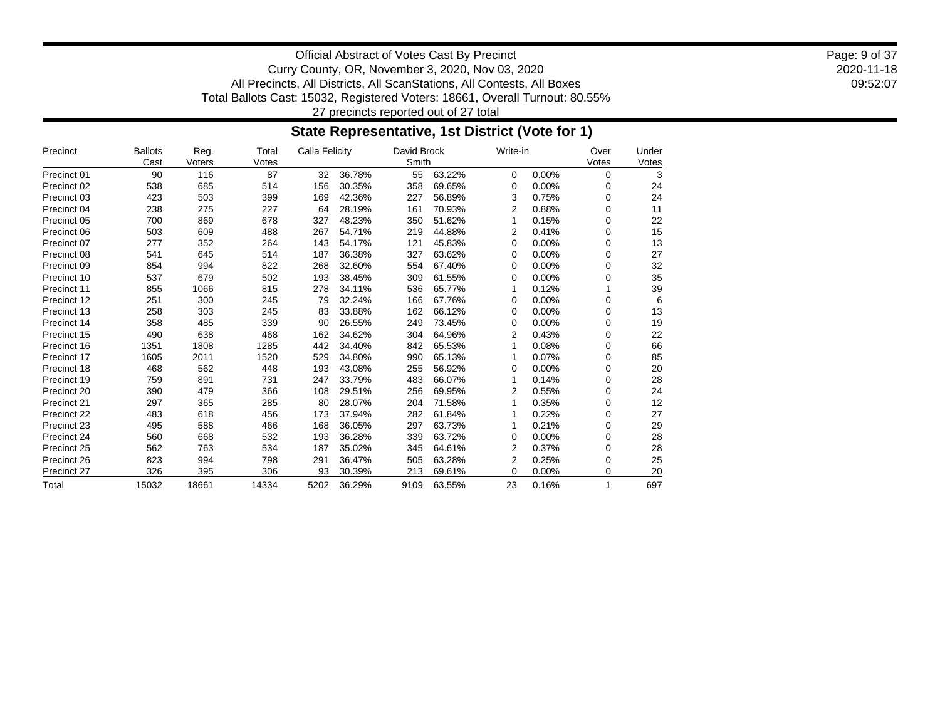2020-11-18 09:52:07 Page: 9 of 37

Official Abstract of Votes Cast By Precinct Curry County, OR, November 3, 2020, Nov 03, 2020 All Precincts, All Districts, All ScanStations, All Contests, All Boxes Total Ballots Cast: 15032, Registered Voters: 18661, Overall Turnout: 80.55% 27 precincts reported out of 27 total

### **State Representative, 1st District (Vote for 1)**

| Precinct    | <b>Ballots</b> | Reg.   | Total | Calla Felicity |        | David Brock |        | Write-in |       | Over        | Under |
|-------------|----------------|--------|-------|----------------|--------|-------------|--------|----------|-------|-------------|-------|
|             | Cast           | Voters | Votes |                |        | Smith       |        |          |       | Votes       | Votes |
| Precinct 01 | 90             | 116    | 87    | 32             | 36.78% | 55          | 63.22% | 0        | 0.00% | $\Omega$    | 3     |
| Precinct 02 | 538            | 685    | 514   | 156            | 30.35% | 358         | 69.65% | 0        | 0.00% | 0           | 24    |
| Precinct 03 | 423            | 503    | 399   | 169            | 42.36% | 227         | 56.89% | 3        | 0.75% | $\Omega$    | 24    |
| Precinct 04 | 238            | 275    | 227   | 64             | 28.19% | 161         | 70.93% | 2        | 0.88% | $\Omega$    | 11    |
| Precinct 05 | 700            | 869    | 678   | 327            | 48.23% | 350         | 51.62% | 1        | 0.15% | $\Omega$    | 22    |
| Precinct 06 | 503            | 609    | 488   | 267            | 54.71% | 219         | 44.88% | 2        | 0.41% | $\Omega$    | 15    |
| Precinct 07 | 277            | 352    | 264   | 143            | 54.17% | 121         | 45.83% | 0        | 0.00% | $\mathbf 0$ | 13    |
| Precinct 08 | 541            | 645    | 514   | 187            | 36.38% | 327         | 63.62% | 0        | 0.00% | $\Omega$    | 27    |
| Precinct 09 | 854            | 994    | 822   | 268            | 32.60% | 554         | 67.40% | 0        | 0.00% | 0           | 32    |
| Precinct 10 | 537            | 679    | 502   | 193            | 38.45% | 309         | 61.55% | 0        | 0.00% | $\Omega$    | 35    |
| Precinct 11 | 855            | 1066   | 815   | 278            | 34.11% | 536         | 65.77% | 1        | 0.12% |             | 39    |
| Precinct 12 | 251            | 300    | 245   | 79             | 32.24% | 166         | 67.76% | 0        | 0.00% | 0           | 6     |
| Precinct 13 | 258            | 303    | 245   | 83             | 33.88% | 162         | 66.12% | 0        | 0.00% | $\Omega$    | 13    |
| Precinct 14 | 358            | 485    | 339   | 90             | 26.55% | 249         | 73.45% | 0        | 0.00% | $\Omega$    | 19    |
| Precinct 15 | 490            | 638    | 468   | 162            | 34.62% | 304         | 64.96% | 2        | 0.43% | $\Omega$    | 22    |
| Precinct 16 | 1351           | 1808   | 1285  | 442            | 34.40% | 842         | 65.53% |          | 0.08% | $\mathbf 0$ | 66    |
| Precinct 17 | 1605           | 2011   | 1520  | 529            | 34.80% | 990         | 65.13% |          | 0.07% | $\Omega$    | 85    |
| Precinct 18 | 468            | 562    | 448   | 193            | 43.08% | 255         | 56.92% | 0        | 0.00% | $\Omega$    | 20    |
| Precinct 19 | 759            | 891    | 731   | 247            | 33.79% | 483         | 66.07% |          | 0.14% | $\mathbf 0$ | 28    |
| Precinct 20 | 390            | 479    | 366   | 108            | 29.51% | 256         | 69.95% | 2        | 0.55% | $\Omega$    | 24    |
| Precinct 21 | 297            | 365    | 285   | 80             | 28.07% | 204         | 71.58% |          | 0.35% | 0           | 12    |
| Precinct 22 | 483            | 618    | 456   | 173            | 37.94% | 282         | 61.84% |          | 0.22% | $\Omega$    | 27    |
| Precinct 23 | 495            | 588    | 466   | 168            | 36.05% | 297         | 63.73% |          | 0.21% | 0           | 29    |
| Precinct 24 | 560            | 668    | 532   | 193            | 36.28% | 339         | 63.72% | 0        | 0.00% | $\Omega$    | 28    |
| Precinct 25 | 562            | 763    | 534   | 187            | 35.02% | 345         | 64.61% | 2        | 0.37% | 0           | 28    |
| Precinct 26 | 823            | 994    | 798   | 291            | 36.47% | 505         | 63.28% | 2        | 0.25% | 0           | 25    |
| Precinct 27 | 326            | 395    | 306   | 93             | 30.39% | 213         | 69.61% | 0        | 0.00% | 0           | 20    |
| Total       | 15032          | 18661  | 14334 | 5202           | 36.29% | 9109        | 63.55% | 23       | 0.16% | 1           | 697   |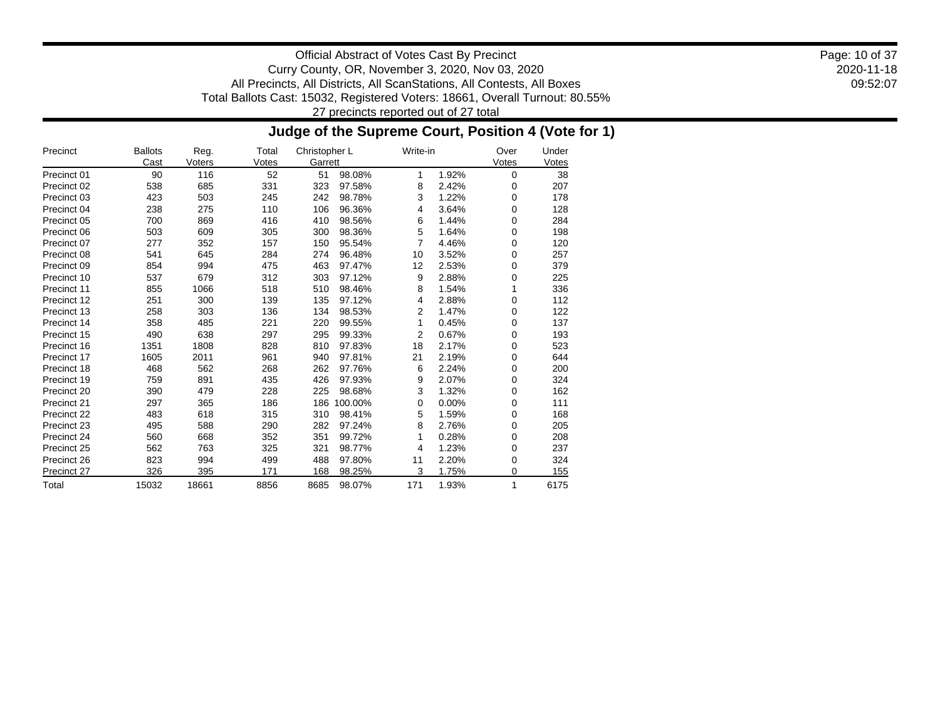2020-11-18 09:52:07 Page: 10 of 37

Official Abstract of Votes Cast By Precinct Curry County, OR, November 3, 2020, Nov 03, 2020 All Precincts, All Districts, All ScanStations, All Contests, All Boxes Total Ballots Cast: 15032, Registered Voters: 18661, Overall Turnout: 80.55% 27 precincts reported out of 27 total

### **Judge of the Supreme Court, Position 4 (Vote for 1)**

| Precinct    | <b>Ballots</b><br>Cast | Reg.<br>Voters | Total<br>Votes | Christopher L<br>Garrett |         | Write-in |       | Over<br>Votes | Under<br>Votes |
|-------------|------------------------|----------------|----------------|--------------------------|---------|----------|-------|---------------|----------------|
| Precinct 01 | 90                     | 116            | 52             | 51                       | 98.08%  | 1        | 1.92% | $\mathbf 0$   | 38             |
| Precinct 02 | 538                    | 685            | 331            | 323                      | 97.58%  | 8        | 2.42% | 0             | 207            |
| Precinct 03 | 423                    | 503            | 245            | 242                      | 98.78%  | 3        | 1.22% | 0             | 178            |
| Precinct 04 | 238                    | 275            | 110            | 106                      | 96.36%  | 4        | 3.64% | 0             | 128            |
| Precinct 05 | 700                    | 869            | 416            | 410                      | 98.56%  | 6        | 1.44% | 0             | 284            |
| Precinct 06 | 503                    | 609            | 305            | 300                      | 98.36%  | 5        | 1.64% | 0             | 198            |
| Precinct 07 | 277                    | 352            | 157            | 150                      | 95.54%  | 7        | 4.46% | 0             | 120            |
| Precinct 08 | 541                    | 645            | 284            | 274                      | 96.48%  | 10       | 3.52% | 0             | 257            |
| Precinct 09 | 854                    | 994            | 475            | 463                      | 97.47%  | 12       | 2.53% | 0             | 379            |
| Precinct 10 | 537                    | 679            | 312            | 303                      | 97.12%  | 9        | 2.88% | 0             | 225            |
| Precinct 11 | 855                    | 1066           | 518            | 510                      | 98.46%  | 8        | 1.54% | 1             | 336            |
| Precinct 12 | 251                    | 300            | 139            | 135                      | 97.12%  | 4        | 2.88% | 0             | 112            |
| Precinct 13 | 258                    | 303            | 136            | 134                      | 98.53%  | 2        | 1.47% | 0             | 122            |
| Precinct 14 | 358                    | 485            | 221            | 220                      | 99.55%  | 1        | 0.45% | 0             | 137            |
| Precinct 15 | 490                    | 638            | 297            | 295                      | 99.33%  | 2        | 0.67% | 0             | 193            |
| Precinct 16 | 1351                   | 1808           | 828            | 810                      | 97.83%  | 18       | 2.17% | 0             | 523            |
| Precinct 17 | 1605                   | 2011           | 961            | 940                      | 97.81%  | 21       | 2.19% | 0             | 644            |
| Precinct 18 | 468                    | 562            | 268            | 262                      | 97.76%  | 6        | 2.24% | 0             | 200            |
| Precinct 19 | 759                    | 891            | 435            | 426                      | 97.93%  | 9        | 2.07% | 0             | 324            |
| Precinct 20 | 390                    | 479            | 228            | 225                      | 98.68%  | 3        | 1.32% | 0             | 162            |
| Precinct 21 | 297                    | 365            | 186            | 186                      | 100.00% | 0        | 0.00% | 0             | 111            |
| Precinct 22 | 483                    | 618            | 315            | 310                      | 98.41%  | 5        | 1.59% | 0             | 168            |
| Precinct 23 | 495                    | 588            | 290            | 282                      | 97.24%  | 8        | 2.76% | 0             | 205            |
| Precinct 24 | 560                    | 668            | 352            | 351                      | 99.72%  |          | 0.28% | 0             | 208            |
| Precinct 25 | 562                    | 763            | 325            | 321                      | 98.77%  | 4        | 1.23% | 0             | 237            |
| Precinct 26 | 823                    | 994            | 499            | 488                      | 97.80%  | 11       | 2.20% | 0             | 324            |
| Precinct 27 | 326                    | 395            | 171            | 168                      | 98.25%  | 3        | 1.75% | 0             | 155            |
| Total       | 15032                  | 18661          | 8856           | 8685                     | 98.07%  | 171      | 1.93% | 1             | 6175           |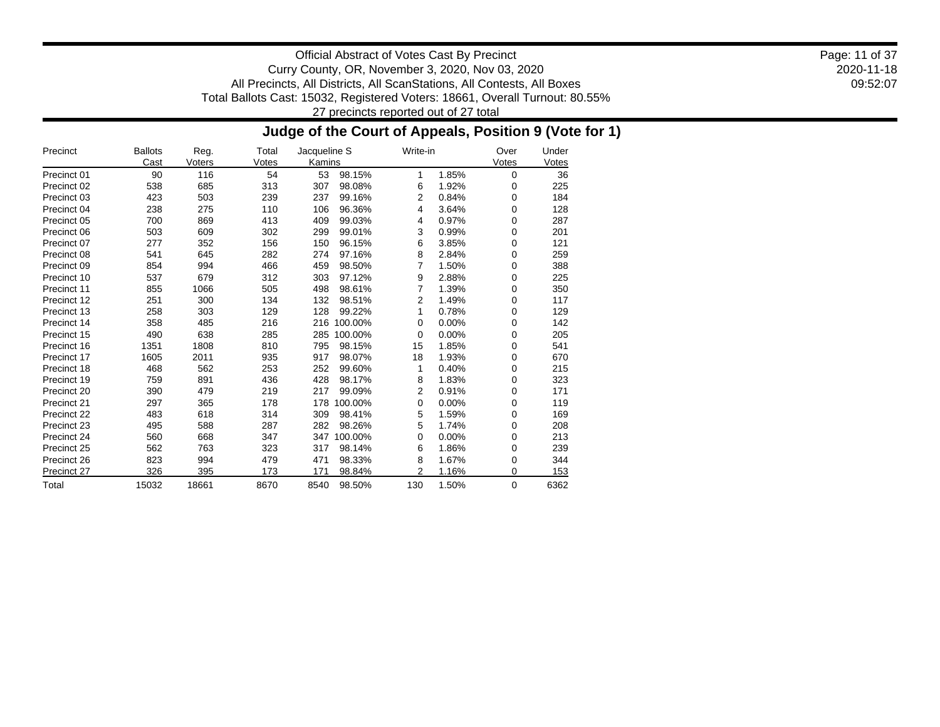2020-11-18 09:52:07 Page: 11 of 37

Official Abstract of Votes Cast By Precinct Curry County, OR, November 3, 2020, Nov 03, 2020 All Precincts, All Districts, All ScanStations, All Contests, All Boxes Total Ballots Cast: 15032, Registered Voters: 18661, Overall Turnout: 80.55% 27 precincts reported out of 27 total

### **Judge of the Court of Appeals, Position 9 (Vote for 1)**

| Precinct    | <b>Ballots</b><br>Cast | Reg.<br>Voters | Total<br>Votes | Jacqueline S<br>Kamins | Write-in |       | Over<br>Votes | Under<br>Votes |
|-------------|------------------------|----------------|----------------|------------------------|----------|-------|---------------|----------------|
| Precinct 01 | 90                     | 116            | 54             | 53<br>98.15%           | 1        | 1.85% | $\mathbf 0$   | 36             |
| Precinct 02 | 538                    | 685            | 313            | 307<br>98.08%          | 6        | 1.92% | 0             | 225            |
| Precinct 03 | 423                    | 503            | 239            | 237<br>99.16%          | 2        | 0.84% | 0             | 184            |
| Precinct 04 | 238                    | 275            | 110            | 96.36%<br>106          | 4        | 3.64% | 0             | 128            |
| Precinct 05 | 700                    | 869            | 413            | 409<br>99.03%          | 4        | 0.97% | 0             | 287            |
| Precinct 06 | 503                    | 609            | 302            | 299<br>99.01%          | 3        | 0.99% | 0             | 201            |
| Precinct 07 | 277                    | 352            | 156            | 150<br>96.15%          | 6        | 3.85% | 0             | 121            |
| Precinct 08 | 541                    | 645            | 282            | 274<br>97.16%          | 8        | 2.84% | 0             | 259            |
| Precinct 09 | 854                    | 994            | 466            | 459<br>98.50%          | 7        | 1.50% | 0             | 388            |
| Precinct 10 | 537                    | 679            | 312            | 97.12%<br>303          | 9        | 2.88% | $\mathbf 0$   | 225            |
| Precinct 11 | 855                    | 1066           | 505            | 98.61%<br>498          | 7        | 1.39% | 0             | 350            |
| Precinct 12 | 251                    | 300            | 134            | 132<br>98.51%          | 2        | 1.49% | 0             | 117            |
| Precinct 13 | 258                    | 303            | 129            | 99.22%<br>128          | 1        | 0.78% | 0             | 129            |
| Precinct 14 | 358                    | 485            | 216            | 216<br>100.00%         | 0        | 0.00% | 0             | 142            |
| Precinct 15 | 490                    | 638            | 285            | 285<br>100.00%         | 0        | 0.00% | 0             | 205            |
| Precinct 16 | 1351                   | 1808           | 810            | 98.15%<br>795          | 15       | 1.85% | 0             | 541            |
| Precinct 17 | 1605                   | 2011           | 935            | 98.07%<br>917          | 18       | 1.93% | 0             | 670            |
| Precinct 18 | 468                    | 562            | 253            | 99.60%<br>252          | 1        | 0.40% | 0             | 215            |
| Precinct 19 | 759                    | 891            | 436            | 428<br>98.17%          | 8        | 1.83% | 0             | 323            |
| Precinct 20 | 390                    | 479            | 219            | 217<br>99.09%          | 2        | 0.91% | 0             | 171            |
| Precinct 21 | 297                    | 365            | 178            | 100.00%<br>178         | 0        | 0.00% | 0             | 119            |
| Precinct 22 | 483                    | 618            | 314            | 98.41%<br>309          | 5        | 1.59% | 0             | 169            |
| Precinct 23 | 495                    | 588            | 287            | 282<br>98.26%          | 5        | 1.74% | 0             | 208            |
| Precinct 24 | 560                    | 668            | 347            | 100.00%<br>347         | 0        | 0.00% | $\mathbf 0$   | 213            |
| Precinct 25 | 562                    | 763            | 323            | 317<br>98.14%          | 6        | 1.86% | 0             | 239            |
| Precinct 26 | 823                    | 994            | 479            | 98.33%<br>471          | 8        | 1.67% | 0             | 344            |
| Precinct 27 | 326                    | 395            | 173            | 98.84%<br>171          | 2        | 1.16% | 0             | 153            |
| Total       | 15032                  | 18661          | 8670           | 8540<br>98.50%         | 130      | 1.50% | $\Omega$      | 6362           |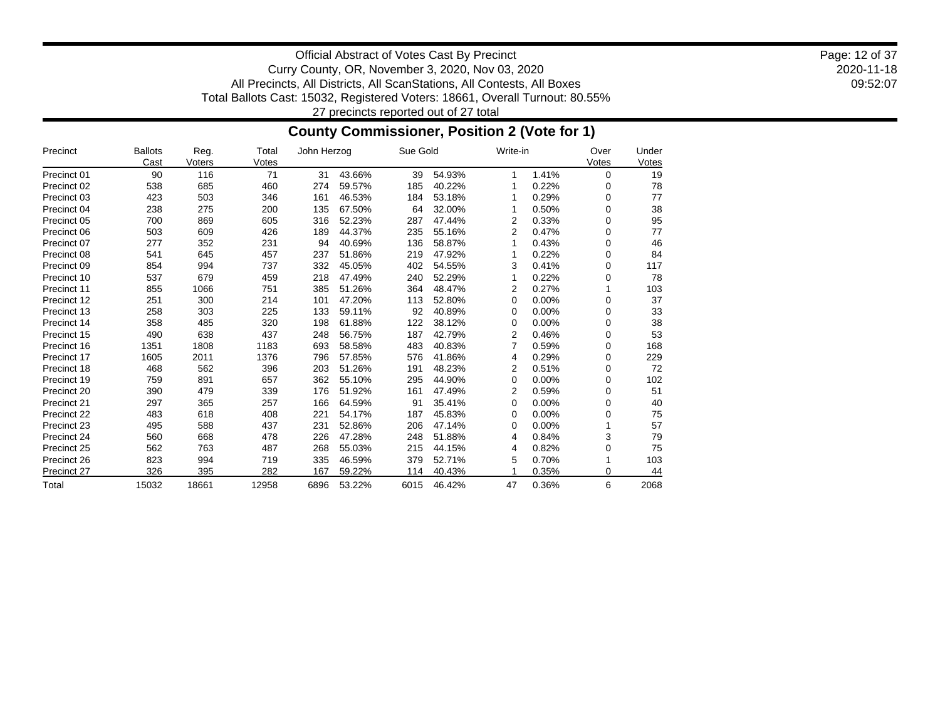2020-11-18 09:52:07 Page: 12 of 37

Official Abstract of Votes Cast By Precinct Curry County, OR, November 3, 2020, Nov 03, 2020 All Precincts, All Districts, All ScanStations, All Contests, All Boxes Total Ballots Cast: 15032, Registered Voters: 18661, Overall Turnout: 80.55% 27 precincts reported out of 27 total

### **County Commissioner, Position 2 (Vote for 1)**

| Precinct    | <b>Ballots</b><br>Cast | Reg.          | Total       | John Herzog |        | Sue Gold |        | Write-in |       | Over              | Under       |
|-------------|------------------------|---------------|-------------|-------------|--------|----------|--------|----------|-------|-------------------|-------------|
| Precinct 01 | 90                     | Voters<br>116 | Votes<br>71 | 31          | 43.66% | 39       | 54.93% | 1        | 1.41% | Votes<br>$\Omega$ | Votes<br>19 |
| Precinct 02 | 538                    | 685           |             | 274         | 59.57% |          | 40.22% |          | 0.22% |                   |             |
|             |                        |               | 460         |             |        | 185      |        |          |       | 0                 | 78          |
| Precinct 03 | 423                    | 503           | 346         | 161         | 46.53% | 184      | 53.18% |          | 0.29% | 0                 | 77          |
| Precinct 04 | 238                    | 275           | 200         | 135         | 67.50% | 64       | 32.00% |          | 0.50% | 0                 | 38          |
| Precinct 05 | 700                    | 869           | 605         | 316         | 52.23% | 287      | 47.44% | 2        | 0.33% | 0                 | 95          |
| Precinct 06 | 503                    | 609           | 426         | 189         | 44.37% | 235      | 55.16% | 2        | 0.47% | 0                 | 77          |
| Precinct 07 | 277                    | 352           | 231         | 94          | 40.69% | 136      | 58.87% |          | 0.43% | 0                 | 46          |
| Precinct 08 | 541                    | 645           | 457         | 237         | 51.86% | 219      | 47.92% |          | 0.22% | 0                 | 84          |
| Precinct 09 | 854                    | 994           | 737         | 332         | 45.05% | 402      | 54.55% | 3        | 0.41% | 0                 | 117         |
| Precinct 10 | 537                    | 679           | 459         | 218         | 47.49% | 240      | 52.29% |          | 0.22% | 0                 | 78          |
| Precinct 11 | 855                    | 1066          | 751         | 385         | 51.26% | 364      | 48.47% | 2        | 0.27% |                   | 103         |
| Precinct 12 | 251                    | 300           | 214         | 101         | 47.20% | 113      | 52.80% | 0        | 0.00% | 0                 | 37          |
| Precinct 13 | 258                    | 303           | 225         | 133         | 59.11% | 92       | 40.89% | 0        | 0.00% | 0                 | 33          |
| Precinct 14 | 358                    | 485           | 320         | 198         | 61.88% | 122      | 38.12% | 0        | 0.00% | 0                 | 38          |
| Precinct 15 | 490                    | 638           | 437         | 248         | 56.75% | 187      | 42.79% | 2        | 0.46% | 0                 | 53          |
| Precinct 16 | 1351                   | 1808          | 1183        | 693         | 58.58% | 483      | 40.83% | 7        | 0.59% | 0                 | 168         |
| Precinct 17 | 1605                   | 2011          | 1376        | 796         | 57.85% | 576      | 41.86% | 4        | 0.29% | 0                 | 229         |
| Precinct 18 | 468                    | 562           | 396         | 203         | 51.26% | 191      | 48.23% | 2        | 0.51% | 0                 | 72          |
| Precinct 19 | 759                    | 891           | 657         | 362         | 55.10% | 295      | 44.90% | 0        | 0.00% | 0                 | 102         |
| Precinct 20 | 390                    | 479           | 339         | 176         | 51.92% | 161      | 47.49% | 2        | 0.59% | 0                 | 51          |
| Precinct 21 | 297                    | 365           | 257         | 166         | 64.59% | 91       | 35.41% | 0        | 0.00% | 0                 | 40          |
| Precinct 22 | 483                    | 618           | 408         | 221         | 54.17% | 187      | 45.83% | 0        | 0.00% | 0                 | 75          |
| Precinct 23 | 495                    | 588           | 437         | 231         | 52.86% | 206      | 47.14% | 0        | 0.00% |                   | 57          |
| Precinct 24 | 560                    | 668           | 478         | 226         | 47.28% | 248      | 51.88% | 4        | 0.84% | 3                 | 79          |
| Precinct 25 | 562                    | 763           | 487         | 268         | 55.03% | 215      | 44.15% | 4        | 0.82% | 0                 | 75          |
| Precinct 26 | 823                    | 994           | 719         | 335         | 46.59% | 379      | 52.71% | 5        | 0.70% |                   | 103         |
| Precinct 27 | 326                    | 395           | 282         | 167         | 59.22% | 114      | 40.43% |          | 0.35% | 0                 | 44          |
| Total       | 15032                  | 18661         | 12958       | 6896        | 53.22% | 6015     | 46.42% | 47       | 0.36% | 6                 | 2068        |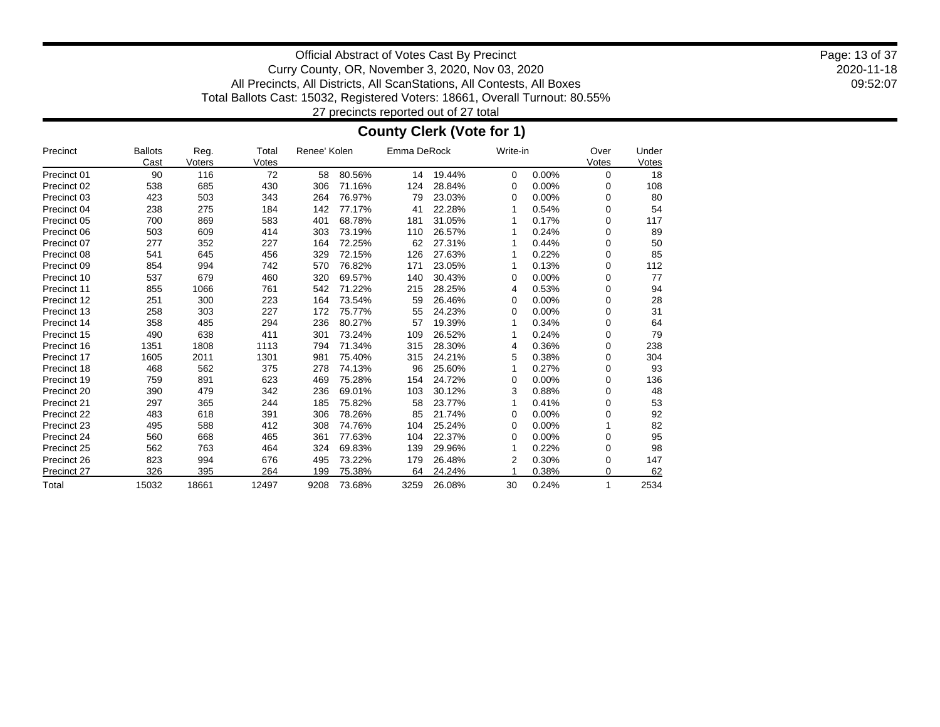2020-11-18 09:52:07 Page: 13 of 37

Official Abstract of Votes Cast By Precinct Curry County, OR, November 3, 2020, Nov 03, 2020 All Precincts, All Districts, All ScanStations, All Contests, All Boxes Total Ballots Cast: 15032, Registered Voters: 18661, Overall Turnout: 80.55% 27 precincts reported out of 27 total

### **County Clerk (Vote for 1)**

| Precinct    | <b>Ballots</b><br>Cast | Reg.<br>Voters | Total<br>Votes | Renee' Kolen |        | Emma DeRock |        | Write-in |       | Over<br>Votes | Under<br>Votes |
|-------------|------------------------|----------------|----------------|--------------|--------|-------------|--------|----------|-------|---------------|----------------|
| Precinct 01 | 90                     | 116            | 72             | 58           | 80.56% | 14          | 19.44% | $\Omega$ | 0.00% | 0             | 18             |
| Precinct 02 | 538                    | 685            | 430            | 306          | 71.16% | 124         | 28.84% | 0        | 0.00% | 0             | 108            |
| Precinct 03 | 423                    | 503            | 343            | 264          | 76.97% | 79          | 23.03% | 0        | 0.00% | 0             | 80             |
| Precinct 04 | 238                    | 275            | 184            | 142          | 77.17% | 41          | 22.28% |          | 0.54% | 0             | 54             |
| Precinct 05 | 700                    | 869            | 583            | 401          | 68.78% | 181         | 31.05% |          | 0.17% | 0             | 117            |
| Precinct 06 | 503                    | 609            | 414            | 303          | 73.19% | 110         | 26.57% |          | 0.24% | 0             | 89             |
| Precinct 07 | 277                    | 352            | 227            | 164          | 72.25% | 62          | 27.31% |          | 0.44% | 0             | 50             |
| Precinct 08 | 541                    | 645            | 456            | 329          | 72.15% | 126         | 27.63% |          | 0.22% | 0             | 85             |
| Precinct 09 | 854                    | 994            | 742            | 570          | 76.82% | 171         | 23.05% |          | 0.13% | 0             | 112            |
| Precinct 10 | 537                    | 679            | 460            | 320          | 69.57% | 140         | 30.43% | 0        | 0.00% | 0             | 77             |
| Precinct 11 | 855                    | 1066           | 761            | 542          | 71.22% | 215         | 28.25% | 4        | 0.53% | 0             | 94             |
| Precinct 12 | 251                    | 300            | 223            | 164          | 73.54% | 59          | 26.46% | 0        | 0.00% | 0             | 28             |
| Precinct 13 | 258                    | 303            | 227            | 172          | 75.77% | 55          | 24.23% | 0        | 0.00% | 0             | 31             |
| Precinct 14 | 358                    | 485            | 294            | 236          | 80.27% | 57          | 19.39% |          | 0.34% | 0             | 64             |
| Precinct 15 | 490                    | 638            | 411            | 301          | 73.24% | 109         | 26.52% |          | 0.24% | 0             | 79             |
| Precinct 16 | 1351                   | 1808           | 1113           | 794          | 71.34% | 315         | 28.30% | 4        | 0.36% | 0             | 238            |
| Precinct 17 | 1605                   | 2011           | 1301           | 981          | 75.40% | 315         | 24.21% | 5        | 0.38% | 0             | 304            |
| Precinct 18 | 468                    | 562            | 375            | 278          | 74.13% | 96          | 25.60% |          | 0.27% | 0             | 93             |
| Precinct 19 | 759                    | 891            | 623            | 469          | 75.28% | 154         | 24.72% | 0        | 0.00% | 0             | 136            |
| Precinct 20 | 390                    | 479            | 342            | 236          | 69.01% | 103         | 30.12% | 3        | 0.88% | 0             | 48             |
| Precinct 21 | 297                    | 365            | 244            | 185          | 75.82% | 58          | 23.77% |          | 0.41% | 0             | 53             |
| Precinct 22 | 483                    | 618            | 391            | 306          | 78.26% | 85          | 21.74% | 0        | 0.00% | 0             | 92             |
| Precinct 23 | 495                    | 588            | 412            | 308          | 74.76% | 104         | 25.24% | 0        | 0.00% |               | 82             |
| Precinct 24 | 560                    | 668            | 465            | 361          | 77.63% | 104         | 22.37% | 0        | 0.00% | 0             | 95             |
| Precinct 25 | 562                    | 763            | 464            | 324          | 69.83% | 139         | 29.96% |          | 0.22% | 0             | 98             |
| Precinct 26 | 823                    | 994            | 676            | 495          | 73.22% | 179         | 26.48% |          | 0.30% | 0             | 147            |
| Precinct 27 | 326                    | 395            | 264            | 199          | 75.38% | 64          | 24.24% |          | 0.38% | 0             | 62             |
| Total       | 15032                  | 18661          | 12497          | 9208         | 73.68% | 3259        | 26.08% | 30       | 0.24% | 1             | 2534           |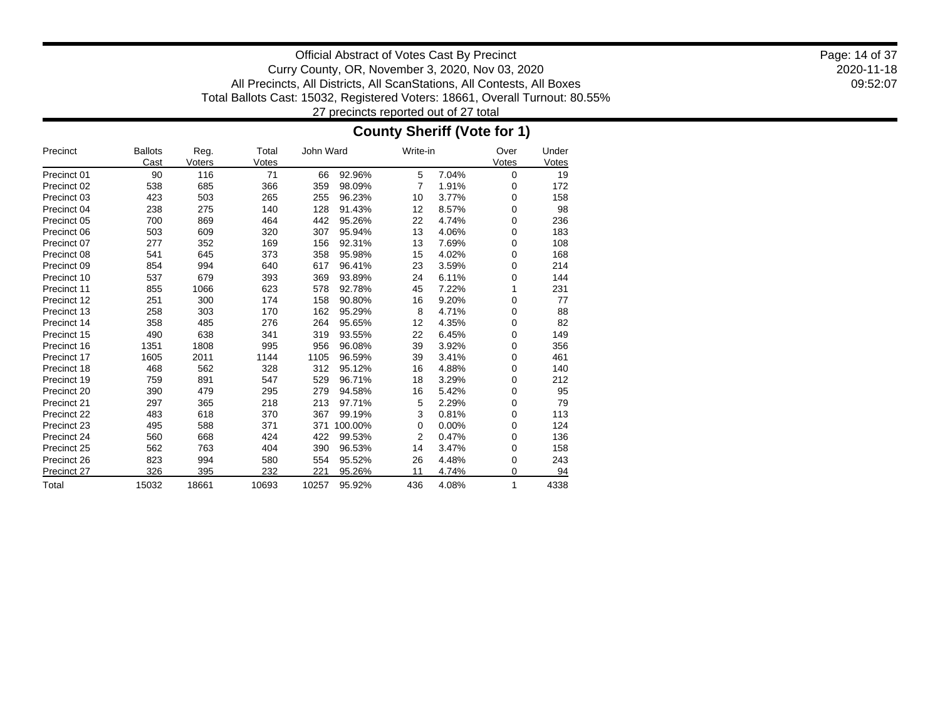2020-11-18 09:52:07 Page: 14 of 37

Official Abstract of Votes Cast By Precinct Curry County, OR, November 3, 2020, Nov 03, 2020 All Precincts, All Districts, All ScanStations, All Contests, All Boxes Total Ballots Cast: 15032, Registered Voters: 18661, Overall Turnout: 80.55% 27 precincts reported out of 27 total

### **County Sheriff (Vote for 1)**

| Precinct    | <b>Ballots</b><br>Cast | Reg.<br>Voters | Total<br>Votes | John Ward |         | Write-in       |          | Over<br>Votes | Under<br>Votes |
|-------------|------------------------|----------------|----------------|-----------|---------|----------------|----------|---------------|----------------|
| Precinct 01 | 90                     | 116            | 71             | 66        | 92.96%  | 5              | 7.04%    | 0             | 19             |
| Precinct 02 | 538                    | 685            | 366            | 359       | 98.09%  | 7              | 1.91%    | 0             | 172            |
| Precinct 03 | 423                    | 503            | 265            | 255       | 96.23%  | 10             | 3.77%    | $\mathbf 0$   | 158            |
| Precinct 04 | 238                    | 275            | 140            | 128       | 91.43%  | 12             | 8.57%    | $\mathbf 0$   | 98             |
| Precinct 05 | 700                    | 869            | 464            | 442       | 95.26%  | 22             | 4.74%    | 0             | 236            |
| Precinct 06 | 503                    | 609            | 320            | 307       | 95.94%  | 13             | 4.06%    | $\mathbf 0$   | 183            |
| Precinct 07 | 277                    | 352            | 169            | 156       | 92.31%  | 13             | 7.69%    | $\mathbf 0$   | 108            |
| Precinct 08 | 541                    | 645            | 373            | 358       | 95.98%  | 15             | 4.02%    | $\mathbf 0$   | 168            |
| Precinct 09 | 854                    | 994            | 640            | 617       | 96.41%  | 23             | 3.59%    | $\mathbf 0$   | 214            |
| Precinct 10 | 537                    | 679            | 393            | 369       | 93.89%  | 24             | 6.11%    | 0             | 144            |
| Precinct 11 | 855                    | 1066           | 623            | 578       | 92.78%  | 45             | 7.22%    |               | 231            |
| Precinct 12 | 251                    | 300            | 174            | 158       | 90.80%  | 16             | 9.20%    | $\mathbf 0$   | 77             |
| Precinct 13 | 258                    | 303            | 170            | 162       | 95.29%  | 8              | 4.71%    | $\mathbf 0$   | 88             |
| Precinct 14 | 358                    | 485            | 276            | 264       | 95.65%  | 12             | 4.35%    | $\mathbf 0$   | 82             |
| Precinct 15 | 490                    | 638            | 341            | 319       | 93.55%  | 22             | 6.45%    | $\mathbf 0$   | 149            |
| Precinct 16 | 1351                   | 1808           | 995            | 956       | 96.08%  | 39             | 3.92%    | 0             | 356            |
| Precinct 17 | 1605                   | 2011           | 1144           | 1105      | 96.59%  | 39             | 3.41%    | 0             | 461            |
| Precinct 18 | 468                    | 562            | 328            | 312       | 95.12%  | 16             | 4.88%    | $\mathbf 0$   | 140            |
| Precinct 19 | 759                    | 891            | 547            | 529       | 96.71%  | 18             | 3.29%    | $\mathbf 0$   | 212            |
| Precinct 20 | 390                    | 479            | 295            | 279       | 94.58%  | 16             | 5.42%    | $\mathbf 0$   | 95             |
| Precinct 21 | 297                    | 365            | 218            | 213       | 97.71%  | 5              | 2.29%    | 0             | 79             |
| Precinct 22 | 483                    | 618            | 370            | 367       | 99.19%  | 3              | 0.81%    | $\mathbf 0$   | 113            |
| Precinct 23 | 495                    | 588            | 371            | 371       | 100.00% | 0              | $0.00\%$ | $\mathbf 0$   | 124            |
| Precinct 24 | 560                    | 668            | 424            | 422       | 99.53%  | $\overline{2}$ | 0.47%    | $\mathbf 0$   | 136            |
| Precinct 25 | 562                    | 763            | 404            | 390       | 96.53%  | 14             | 3.47%    | $\mathbf 0$   | 158            |
| Precinct 26 | 823                    | 994            | 580            | 554       | 95.52%  | 26             | 4.48%    | 0             | 243            |
| Precinct 27 | 326                    | 395            | 232            | 221       | 95.26%  | 11             | 4.74%    | $\mathbf 0$   | 94             |
| Total       | 15032                  | 18661          | 10693          | 10257     | 95.92%  | 436            | 4.08%    | 1             | 4338           |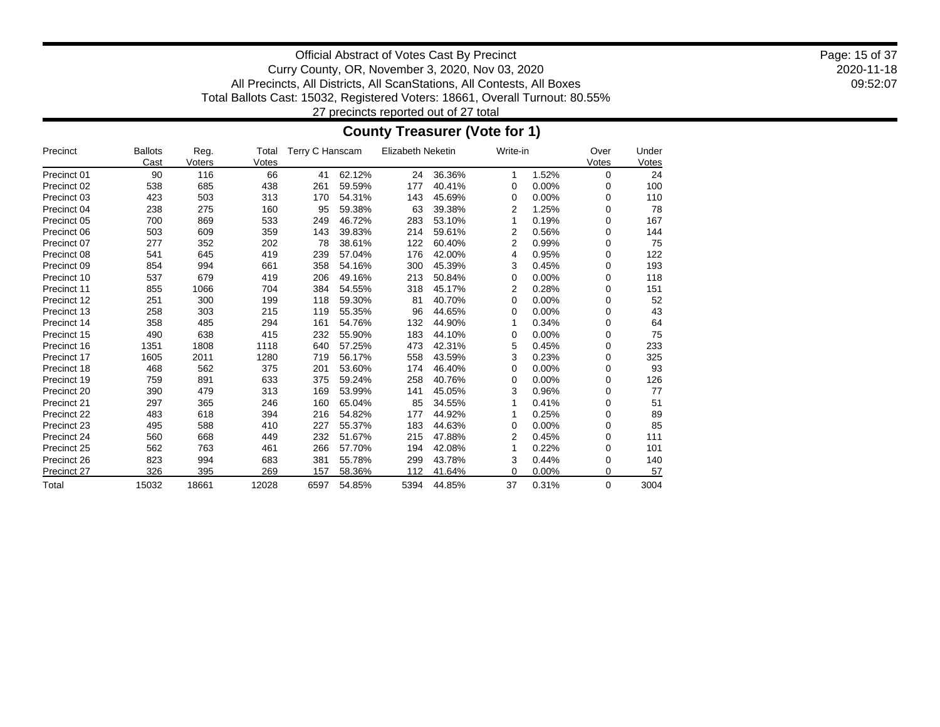2020-11-18 09:52:07 Page: 15 of 37

Official Abstract of Votes Cast By Precinct Curry County, OR, November 3, 2020, Nov 03, 2020 All Precincts, All Districts, All ScanStations, All Contests, All Boxes Total Ballots Cast: 15032, Registered Voters: 18661, Overall Turnout: 80.55% 27 precincts reported out of 27 total

### **County Treasurer (Vote for 1)**

| Precinct    | <b>Ballots</b><br>Cast | Reg.<br>Voters | Total<br>Votes | Terry C Hanscam |        | <b>Elizabeth Neketin</b> |        |    | Write-in |   | Under<br>Votes |
|-------------|------------------------|----------------|----------------|-----------------|--------|--------------------------|--------|----|----------|---|----------------|
| Precinct 01 | 90                     | 116            | 66             | 41              | 62.12% | 24                       | 36.36% | 1  | 1.52%    | 0 | 24             |
| Precinct 02 | 538                    | 685            | 438            | 261             | 59.59% | 177                      | 40.41% | 0  | 0.00%    | 0 | 100            |
| Precinct 03 | 423                    | 503            | 313            | 170             | 54.31% | 143                      | 45.69% | 0  | 0.00%    | 0 | 110            |
| Precinct 04 | 238                    | 275            | 160            | 95              | 59.38% | 63                       | 39.38% | 2  | 1.25%    | 0 | 78             |
| Precinct 05 | 700                    | 869            | 533            | 249             | 46.72% | 283                      | 53.10% |    | 0.19%    | 0 | 167            |
| Precinct 06 | 503                    | 609            | 359            | 143             | 39.83% | 214                      | 59.61% | 2  | 0.56%    | 0 | 144            |
| Precinct 07 | 277                    | 352            | 202            | 78              | 38.61% | 122                      | 60.40% | 2  | 0.99%    | 0 | 75             |
| Precinct 08 | 541                    | 645            | 419            | 239             | 57.04% | 176                      | 42.00% | 4  | 0.95%    | 0 | 122            |
| Precinct 09 | 854                    | 994            | 661            | 358             | 54.16% | 300                      | 45.39% | 3  | 0.45%    | 0 | 193            |
| Precinct 10 | 537                    | 679            | 419            | 206             | 49.16% | 213                      | 50.84% | 0  | 0.00%    | 0 | 118            |
| Precinct 11 | 855                    | 1066           | 704            | 384             | 54.55% | 318                      | 45.17% | 2  | 0.28%    | 0 | 151            |
| Precinct 12 | 251                    | 300            | 199            | 118             | 59.30% | 81                       | 40.70% | 0  | 0.00%    | 0 | 52             |
| Precinct 13 | 258                    | 303            | 215            | 119             | 55.35% | 96                       | 44.65% | 0  | 0.00%    | 0 | 43             |
| Precinct 14 | 358                    | 485            | 294            | 161             | 54.76% | 132                      | 44.90% |    | 0.34%    | 0 | 64             |
| Precinct 15 | 490                    | 638            | 415            | 232             | 55.90% | 183                      | 44.10% | 0  | 0.00%    | 0 | 75             |
| Precinct 16 | 1351                   | 1808           | 1118           | 640             | 57.25% | 473                      | 42.31% | 5  | 0.45%    | 0 | 233            |
| Precinct 17 | 1605                   | 2011           | 1280           | 719             | 56.17% | 558                      | 43.59% | 3  | 0.23%    | 0 | 325            |
| Precinct 18 | 468                    | 562            | 375            | 201             | 53.60% | 174                      | 46.40% | 0  | 0.00%    | 0 | 93             |
| Precinct 19 | 759                    | 891            | 633            | 375             | 59.24% | 258                      | 40.76% | 0  | 0.00%    | 0 | 126            |
| Precinct 20 | 390                    | 479            | 313            | 169             | 53.99% | 141                      | 45.05% | 3  | 0.96%    | 0 | 77             |
| Precinct 21 | 297                    | 365            | 246            | 160             | 65.04% | 85                       | 34.55% |    | 0.41%    | 0 | 51             |
| Precinct 22 | 483                    | 618            | 394            | 216             | 54.82% | 177                      | 44.92% |    | 0.25%    | 0 | 89             |
| Precinct 23 | 495                    | 588            | 410            | 227             | 55.37% | 183                      | 44.63% | 0  | 0.00%    | 0 | 85             |
| Precinct 24 | 560                    | 668            | 449            | 232             | 51.67% | 215                      | 47.88% | 2  | 0.45%    | 0 | 111            |
| Precinct 25 | 562                    | 763            | 461            | 266             | 57.70% | 194                      | 42.08% |    | 0.22%    | 0 | 101            |
| Precinct 26 | 823                    | 994            | 683            | 381             | 55.78% | 299                      | 43.78% | 3  | 0.44%    | 0 | 140            |
| Precinct 27 | 326                    | 395            | 269            | 157             | 58.36% | 112                      | 41.64% | 0  | 0.00%    | 0 | 57             |
| Total       | 15032                  | 18661          | 12028          | 6597            | 54.85% | 5394                     | 44.85% | 37 | 0.31%    | 0 | 3004           |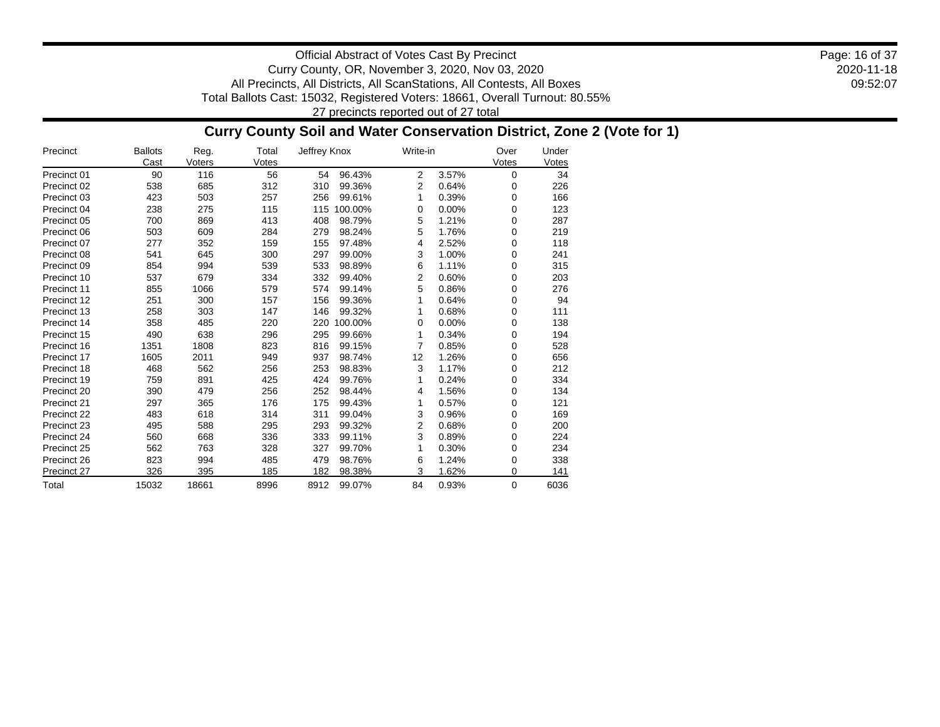2020-11-18 09:52:07 Page: 16 of 37

Official Abstract of Votes Cast By Precinct Curry County, OR, November 3, 2020, Nov 03, 2020 All Precincts, All Districts, All ScanStations, All Contests, All Boxes Total Ballots Cast: 15032, Registered Voters: 18661, Overall Turnout: 80.55% 27 precincts reported out of 27 total

### **Curry County Soil and Water Conservation District, Zone 2 (Vote for 1)**

| Precinct    | <b>Ballots</b><br>Cast | Reg.<br>Voters | Total<br>Votes | Jeffrey Knox   | Write-in                | Over<br>Votes | Under<br>Votes |
|-------------|------------------------|----------------|----------------|----------------|-------------------------|---------------|----------------|
| Precinct 01 | 90                     | 116            | 56             | 96.43%<br>54   | $\overline{2}$<br>3.57% | 0             | 34             |
| Precinct 02 | 538                    | 685            | 312            | 310<br>99.36%  | 2<br>0.64%              | 0             | 226            |
| Precinct 03 | 423                    | 503            | 257            | 256<br>99.61%  | 0.39%<br>1              | 0             | 166            |
| Precinct 04 | 238                    | 275            | 115            | 115<br>100.00% | 0.00%<br>0              | 0             | 123            |
| Precinct 05 | 700                    | 869            | 413            | 408<br>98.79%  | 5<br>1.21%              | 0             | 287            |
| Precinct 06 | 503                    | 609            | 284            | 98.24%<br>279  | 5<br>1.76%              | 0             | 219            |
| Precinct 07 | 277                    | 352            | 159            | 155<br>97.48%  | 2.52%<br>4              | 0             | 118            |
| Precinct 08 | 541                    | 645            | 300            | 297<br>99.00%  | 3<br>1.00%              | 0             | 241            |
| Precinct 09 | 854                    | 994            | 539            | 533<br>98.89%  | 6<br>1.11%              | 0             | 315            |
| Precinct 10 | 537                    | 679            | 334            | 332<br>99.40%  | 2<br>0.60%              | 0             | 203            |
| Precinct 11 | 855                    | 1066           | 579            | 574<br>99.14%  | 5<br>0.86%              | 0             | 276            |
| Precinct 12 | 251                    | 300            | 157            | 156<br>99.36%  | 0.64%<br>1              | 0             | 94             |
| Precinct 13 | 258                    | 303            | 147            | 99.32%<br>146  | 0.68%<br>1              | 0             | 111            |
| Precinct 14 | 358                    | 485            | 220            | 100.00%<br>220 | 0.00%<br>0              | 0             | 138            |
| Precinct 15 | 490                    | 638            | 296            | 295<br>99.66%  | 0.34%<br>1              | 0             | 194            |
| Precinct 16 | 1351                   | 1808           | 823            | 816<br>99.15%  | 7<br>0.85%              | 0             | 528            |
| Precinct 17 | 1605                   | 2011           | 949            | 937<br>98.74%  | 1.26%<br>12             | 0             | 656            |
| Precinct 18 | 468                    | 562            | 256            | 253<br>98.83%  | 3<br>1.17%              | 0             | 212            |
| Precinct 19 | 759                    | 891            | 425            | 424<br>99.76%  | 0.24%<br>1              | 0             | 334            |
| Precinct 20 | 390                    | 479            | 256            | 252<br>98.44%  | 1.56%<br>4              | 0             | 134            |
| Precinct 21 | 297                    | 365            | 176            | 175<br>99.43%  | 0.57%<br>1              | 0             | 121            |
| Precinct 22 | 483                    | 618            | 314            | 99.04%<br>311  | 3<br>0.96%              | 0             | 169            |
| Precinct 23 | 495                    | 588            | 295            | 99.32%<br>293  | 2<br>0.68%              | 0             | 200            |
| Precinct 24 | 560                    | 668            | 336            | 333<br>99.11%  | 3<br>0.89%              | 0             | 224            |
| Precinct 25 | 562                    | 763            | 328            | 327<br>99.70%  | 0.30%<br>1              | 0             | 234            |
| Precinct 26 | 823                    | 994            | 485            | 479<br>98.76%  | 6<br>1.24%              | 0             | 338            |
| Precinct 27 | 326                    | 395            | 185            | 98.38%<br>182  | 3<br>1.62%              | 0             | 141            |
| Total       | 15032                  | 18661          | 8996           | 8912<br>99.07% | 84<br>0.93%             | 0             | 6036           |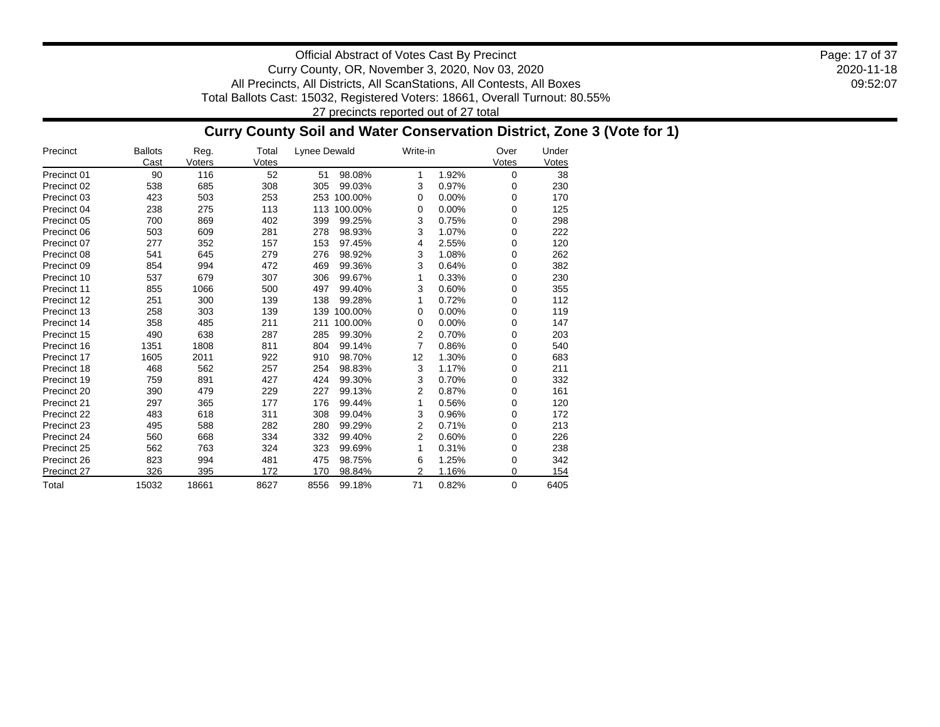2020-11-18 09:52:07 Page: 17 of 37

Official Abstract of Votes Cast By Precinct Curry County, OR, November 3, 2020, Nov 03, 2020 All Precincts, All Districts, All ScanStations, All Contests, All Boxes Total Ballots Cast: 15032, Registered Voters: 18661, Overall Turnout: 80.55% 27 precincts reported out of 27 total

### **Curry County Soil and Water Conservation District, Zone 3 (Vote for 1)**

| Precinct    | <b>Ballots</b><br>Cast | Reg.<br>Voters | Total<br>Votes | Lynee Dewald   | Write-in       |       | Over<br>Votes | Under<br>Votes |
|-------------|------------------------|----------------|----------------|----------------|----------------|-------|---------------|----------------|
| Precinct 01 | 90                     | 116            | 52             | 98.08%<br>51   | 1              | 1.92% | 0             | 38             |
| Precinct 02 | 538                    | 685            | 308            | 305<br>99.03%  | 3              | 0.97% | 0             | 230            |
| Precinct 03 | 423                    | 503            | 253            | 253<br>100.00% | 0              | 0.00% | 0             | 170            |
| Precinct 04 | 238                    | 275            | 113            | 113<br>100.00% | 0              | 0.00% | 0             | 125            |
| Precinct 05 | 700                    | 869            | 402            | 399<br>99.25%  | 3              | 0.75% | 0             | 298            |
| Precinct 06 | 503                    | 609            | 281            | 278<br>98.93%  | 3              | 1.07% | 0             | 222            |
| Precinct 07 | 277                    | 352            | 157            | 153<br>97.45%  | 4              | 2.55% | 0             | 120            |
| Precinct 08 | 541                    | 645            | 279            | 276<br>98.92%  | 3              | 1.08% | 0             | 262            |
| Precinct 09 | 854                    | 994            | 472            | 469<br>99.36%  | 3              | 0.64% | 0             | 382            |
| Precinct 10 | 537                    | 679            | 307            | 99.67%<br>306  | 1              | 0.33% | 0             | 230            |
| Precinct 11 | 855                    | 1066           | 500            | 497<br>99.40%  | 3              | 0.60% | 0             | 355            |
| Precinct 12 | 251                    | 300            | 139            | 138<br>99.28%  | 1              | 0.72% | 0             | 112            |
| Precinct 13 | 258                    | 303            | 139            | 139<br>100.00% | 0              | 0.00% | 0             | 119            |
| Precinct 14 | 358                    | 485            | 211            | 100.00%<br>211 | 0              | 0.00% | 0             | 147            |
| Precinct 15 | 490                    | 638            | 287            | 285<br>99.30%  | 2              | 0.70% | 0             | 203            |
| Precinct 16 | 1351                   | 1808           | 811            | 804<br>99.14%  | 7              | 0.86% | 0             | 540            |
| Precinct 17 | 1605                   | 2011           | 922            | 910<br>98.70%  | 12             | 1.30% | 0             | 683            |
| Precinct 18 | 468                    | 562            | 257            | 254<br>98.83%  | 3              | 1.17% | 0             | 211            |
| Precinct 19 | 759                    | 891            | 427            | 424<br>99.30%  | 3              | 0.70% | 0             | 332            |
| Precinct 20 | 390                    | 479            | 229            | 227<br>99.13%  | 2              | 0.87% | 0             | 161            |
| Precinct 21 | 297                    | 365            | 177            | 176<br>99.44%  | 1              | 0.56% | 0             | 120            |
| Precinct 22 | 483                    | 618            | 311            | 308<br>99.04%  | 3              | 0.96% | 0             | 172            |
| Precinct 23 | 495                    | 588            | 282            | 280<br>99.29%  | 2              | 0.71% | 0             | 213            |
| Precinct 24 | 560                    | 668            | 334            | 332<br>99.40%  | $\overline{2}$ | 0.60% | 0             | 226            |
| Precinct 25 | 562                    | 763            | 324            | 323<br>99.69%  | 1              | 0.31% | 0             | 238            |
| Precinct 26 | 823                    | 994            | 481            | 475<br>98.75%  | 6              | 1.25% | 0             | 342            |
| Precinct 27 | 326                    | 395            | 172            | 98.84%<br>170  | 2              | 1.16% | 0             | 154            |
| Total       | 15032                  | 18661          | 8627           | 8556<br>99.18% | 71             | 0.82% | 0             | 6405           |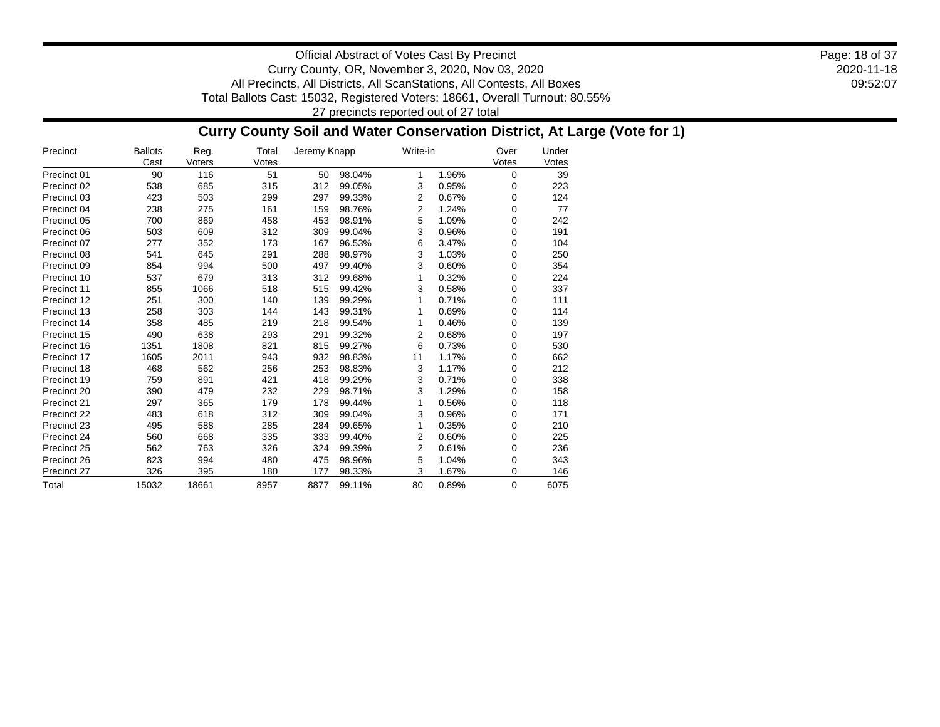2020-11-18 09:52:07 Page: 18 of 37

Official Abstract of Votes Cast By Precinct Curry County, OR, November 3, 2020, Nov 03, 2020 All Precincts, All Districts, All ScanStations, All Contests, All Boxes Total Ballots Cast: 15032, Registered Voters: 18661, Overall Turnout: 80.55% 27 precincts reported out of 27 total

### **Curry County Soil and Water Conservation District, At Large (Vote for 1)**

| Precinct    | <b>Ballots</b><br>Cast | Reg.<br>Voters | Total<br>Votes | Jeremy Knapp |        | Write-in       |       | Over<br>Votes | Under<br>Votes |
|-------------|------------------------|----------------|----------------|--------------|--------|----------------|-------|---------------|----------------|
| Precinct 01 | 90                     | 116            | 51             | 50           | 98.04% | 1              | 1.96% | 0             | 39             |
| Precinct 02 | 538                    | 685            | 315            | 312          | 99.05% | 3              | 0.95% | 0             | 223            |
| Precinct 03 | 423                    | 503            | 299            | 297          | 99.33% | 2              | 0.67% | 0             | 124            |
| Precinct 04 | 238                    | 275            | 161            | 159          | 98.76% | $\overline{2}$ | 1.24% | 0             | 77             |
| Precinct 05 | 700                    | 869            | 458            | 453          | 98.91% | 5              | 1.09% | 0             | 242            |
| Precinct 06 | 503                    | 609            | 312            | 309          | 99.04% | 3              | 0.96% | 0             | 191            |
| Precinct 07 | 277                    | 352            | 173            | 167          | 96.53% | 6              | 3.47% | 0             | 104            |
| Precinct 08 | 541                    | 645            | 291            | 288          | 98.97% | 3              | 1.03% | 0             | 250            |
| Precinct 09 | 854                    | 994            | 500            | 497          | 99.40% | 3              | 0.60% | 0             | 354            |
| Precinct 10 | 537                    | 679            | 313            | 312          | 99.68% | 1              | 0.32% | 0             | 224            |
| Precinct 11 | 855                    | 1066           | 518            | 515          | 99.42% | 3              | 0.58% | 0             | 337            |
| Precinct 12 | 251                    | 300            | 140            | 139          | 99.29% |                | 0.71% | 0             | 111            |
| Precinct 13 | 258                    | 303            | 144            | 143          | 99.31% | 1              | 0.69% | 0             | 114            |
| Precinct 14 | 358                    | 485            | 219            | 218          | 99.54% | 1              | 0.46% | 0             | 139            |
| Precinct 15 | 490                    | 638            | 293            | 291          | 99.32% | 2              | 0.68% | 0             | 197            |
| Precinct 16 | 1351                   | 1808           | 821            | 815          | 99.27% | 6              | 0.73% | 0             | 530            |
| Precinct 17 | 1605                   | 2011           | 943            | 932          | 98.83% | 11             | 1.17% | 0             | 662            |
| Precinct 18 | 468                    | 562            | 256            | 253          | 98.83% | 3              | 1.17% | 0             | 212            |
| Precinct 19 | 759                    | 891            | 421            | 418          | 99.29% | 3              | 0.71% | 0             | 338            |
| Precinct 20 | 390                    | 479            | 232            | 229          | 98.71% | 3              | 1.29% | 0             | 158            |
| Precinct 21 | 297                    | 365            | 179            | 178          | 99.44% | 1              | 0.56% | 0             | 118            |
| Precinct 22 | 483                    | 618            | 312            | 309          | 99.04% | 3              | 0.96% | 0             | 171            |
| Precinct 23 | 495                    | 588            | 285            | 284          | 99.65% | 1              | 0.35% | 0             | 210            |
| Precinct 24 | 560                    | 668            | 335            | 333          | 99.40% | 2              | 0.60% | 0             | 225            |
| Precinct 25 | 562                    | 763            | 326            | 324          | 99.39% | 2              | 0.61% | 0             | 236            |
| Precinct 26 | 823                    | 994            | 480            | 475          | 98.96% | 5              | 1.04% | 0             | 343            |
| Precinct 27 | 326                    | 395            | 180            | 177          | 98.33% | 3              | 1.67% | 0             | 146            |
| Total       | 15032                  | 18661          | 8957           | 8877         | 99.11% | 80             | 0.89% | 0             | 6075           |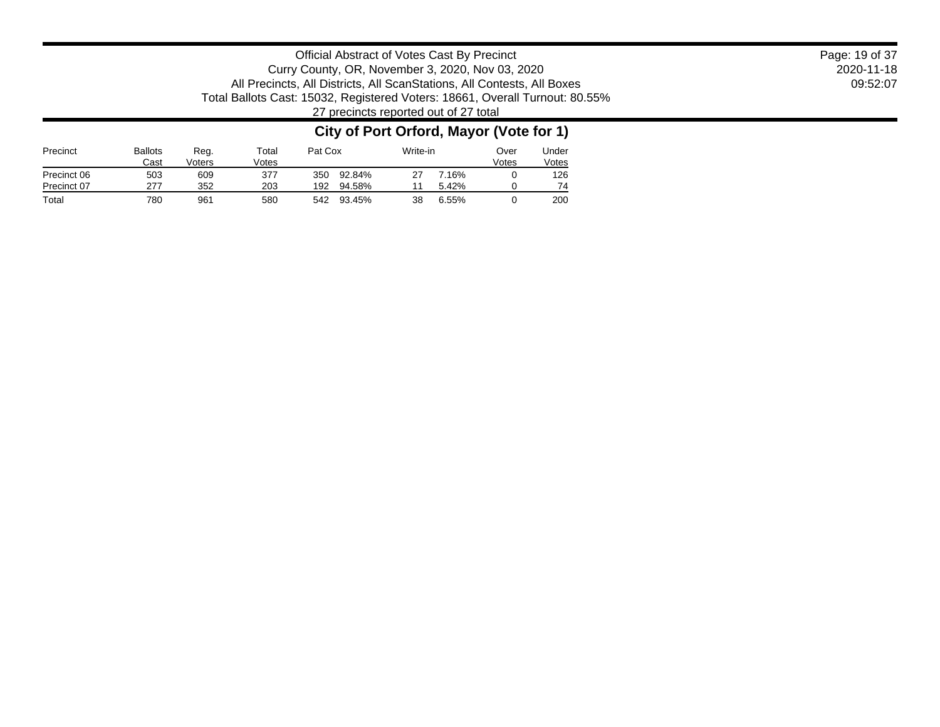2020-11-18 09:52:07 Page: 19 of 37

Official Abstract of Votes Cast By Precinct Curry County, OR, November 3, 2020, Nov 03, 2020 All Precincts, All Districts, All ScanStations, All Contests, All Boxes Total Ballots Cast: 15032, Registered Voters: 18661, Overall Turnout: 80.55% 27 precincts reported out of 27 total

### **City of Port Orford, Mayor (Vote for 1)**

| Precinct    | <b>Ballots</b><br>Cast | Reg.<br>Voters | Total<br>√otes |     | Pat Cox |    | Write-in | Over<br>Votes | Under<br>Votes |
|-------------|------------------------|----------------|----------------|-----|---------|----|----------|---------------|----------------|
| Precinct 06 | 503                    | 609            | 377            | 350 | 92.84%  |    | 16%      |               | 126            |
| Precinct 07 | 277                    | 352            | 203            | 192 | 94.58%  |    | $5.42\%$ |               | 74             |
| Total       | 780                    | 961            | 580            | 542 | 93.45%  | 38 | 6.55%    |               | 200            |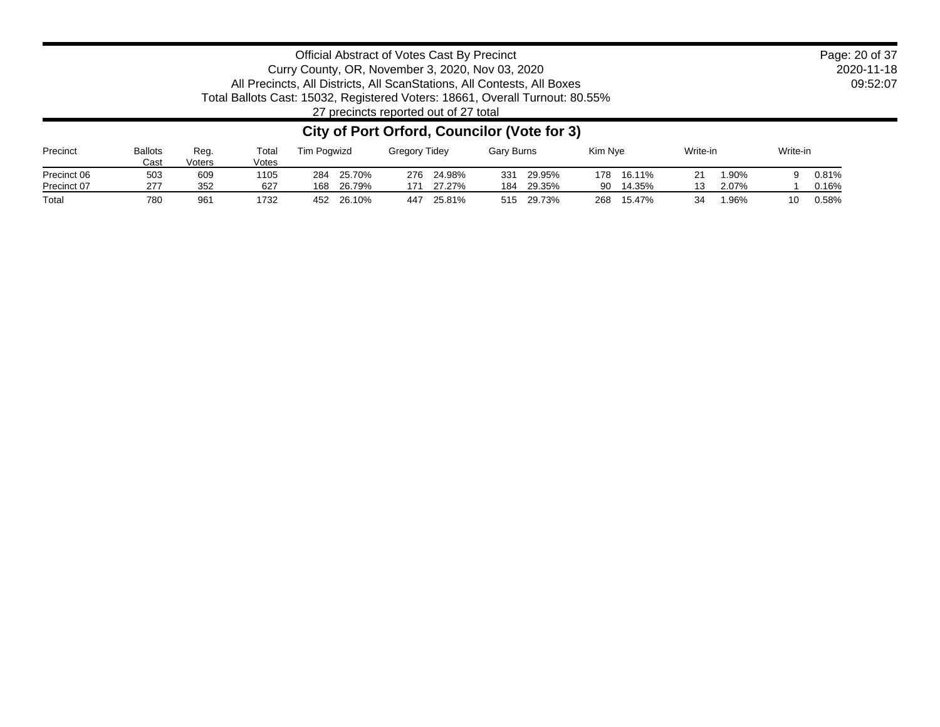2020-11-18 09:52:07 Page: 20 of 37

### Official Abstract of Votes Cast By Precinct Curry County, OR, November 3, 2020, Nov 03, 2020 All Precincts, All Districts, All ScanStations, All Contests, All Boxes Total Ballots Cast: 15032, Registered Voters: 18661, Overall Turnout: 80.55%

27 precincts reported out of 27 total

### **City of Port Orford, Councilor (Vote for 3)**

| Precinct    | <b>Ballots</b><br>Cast | Reg.<br>Voters | Total<br>Votes | Tim Poawizd   | <b>Gregory Tidey</b> | <b>Gary Burns</b> | Kim Nve       | Write-in    | Write-in    |
|-------------|------------------------|----------------|----------------|---------------|----------------------|-------------------|---------------|-------------|-------------|
| Precinct 06 | 503                    | 609            | 1105           | 25.70%<br>284 | 24.98%<br>276        | 29.95%<br>331     | 178<br>16.11% | 1.90%       | 0.81%       |
| Precinct 07 | 277                    | 352            | 627            | 26.79%<br>168 | 27.27%<br>171        | 29.35%<br>184     | 14.35%<br>90  | 2.07%       | 0.16%       |
| Total       | 780                    | 961            | 1732           | 26.10%<br>452 | 25.81%<br>447        | 515<br>29.73%     | 268<br>15.47% | 1.96%<br>34 | 0.58%<br>10 |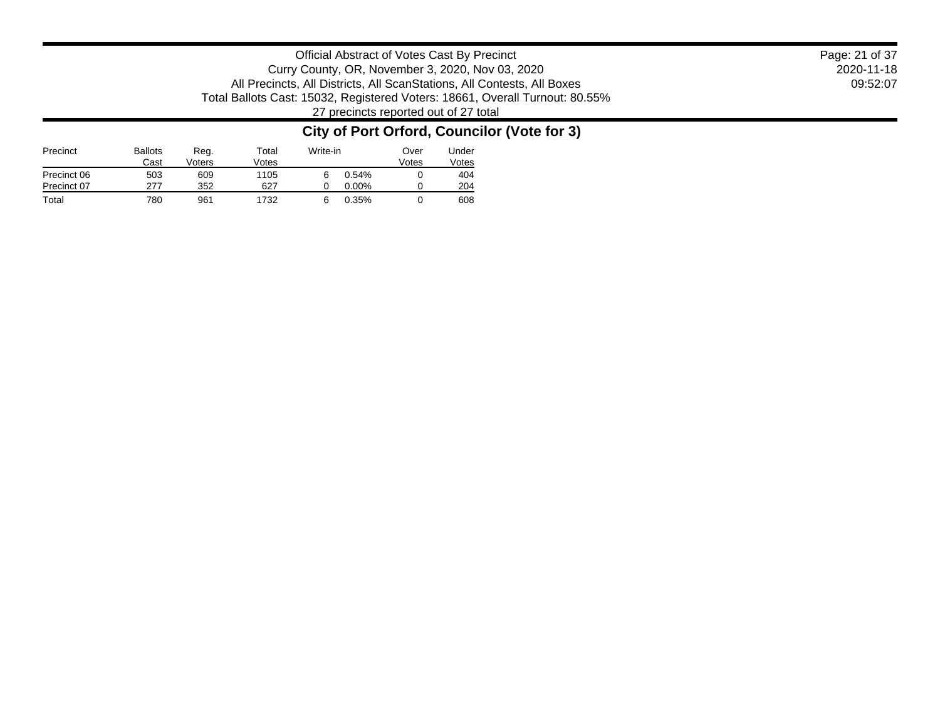Official Abstract of Votes Cast By Precinct Curry County, OR, November 3, 2020, Nov 03, 2020 All Precincts, All Districts, All ScanStations, All Contests, All Boxes Total Ballots Cast: 15032, Registered Voters: 18661, Overall Turnout: 80.55% 27 precincts reported out of 27 total

### **City of Port Orford, Councilor (Vote for 3)**

| Precinct    | <b>Ballots</b><br>Cast | Reg.<br>Voters | Total<br>Votes | Write-in |          | Over<br>Votes | Under<br>Votes |
|-------------|------------------------|----------------|----------------|----------|----------|---------------|----------------|
| Precinct 06 | 503                    | 609            | 1105           |          | 0.54%    |               | 404            |
| Precinct 07 | 277                    | 352            | 627            |          | $0.00\%$ |               | 204            |
| Total       | 780                    | 961            | 1732           |          | 0.35%    |               | 608            |

2020-11-18 09:52:07 Page: 21 of 37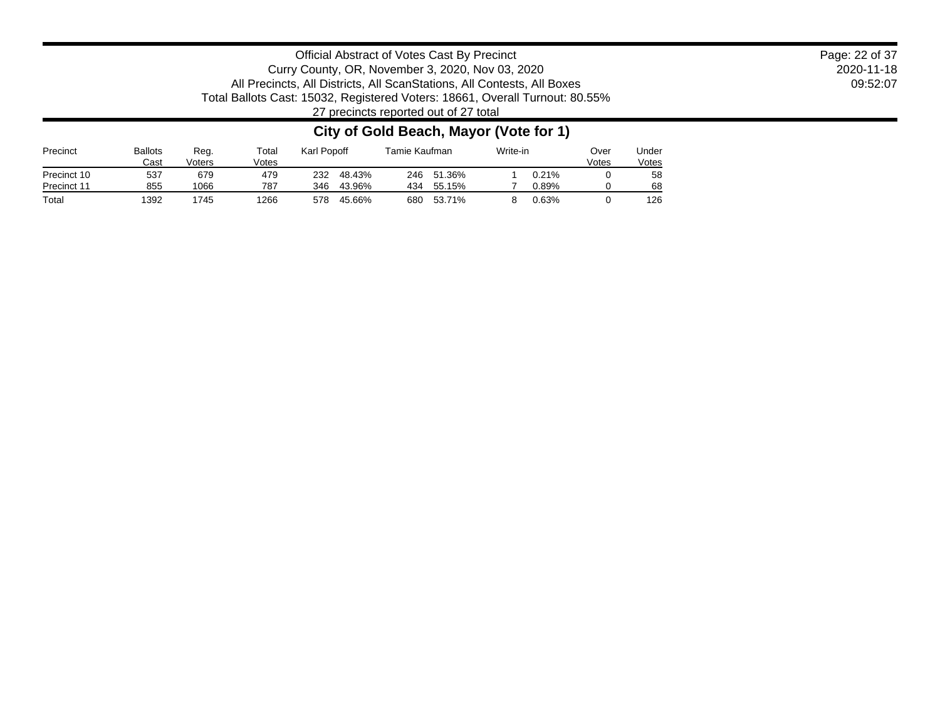2020-11-18 09:52:07 Page: 22 of 37

Official Abstract of Votes Cast By Precinct Curry County, OR, November 3, 2020, Nov 03, 2020 All Precincts, All Districts, All ScanStations, All Contests, All Boxes Total Ballots Cast: 15032, Registered Voters: 18661, Overall Turnout: 80.55% 27 precincts reported out of 27 total

### **City of Gold Beach, Mayor (Vote for 1)**

| Precinct    | <b>Ballots</b><br>Cast | Reg.<br>Voters | $\tau$ otal<br>Votes | Karl Popoff |        | Tamie Kaufman |             | Write-in |       | Over<br>Votes | Jnder<br>Votes |
|-------------|------------------------|----------------|----------------------|-------------|--------|---------------|-------------|----------|-------|---------------|----------------|
| Precinct 10 | 537                    | 679            | 479                  | 232         | 48.43% | 246           | 51.36%      |          | 0.21% |               | 58             |
| Precinct 11 | 855                    | 066            | 787                  | 346         | 43.96% | 434           | .15%<br>55. |          | 0.89% |               | 68             |
| Total       | 392                    | 745            | 1266                 | 578         | 45.66% | 680           | 53.71%      |          | 0.63% |               | 126            |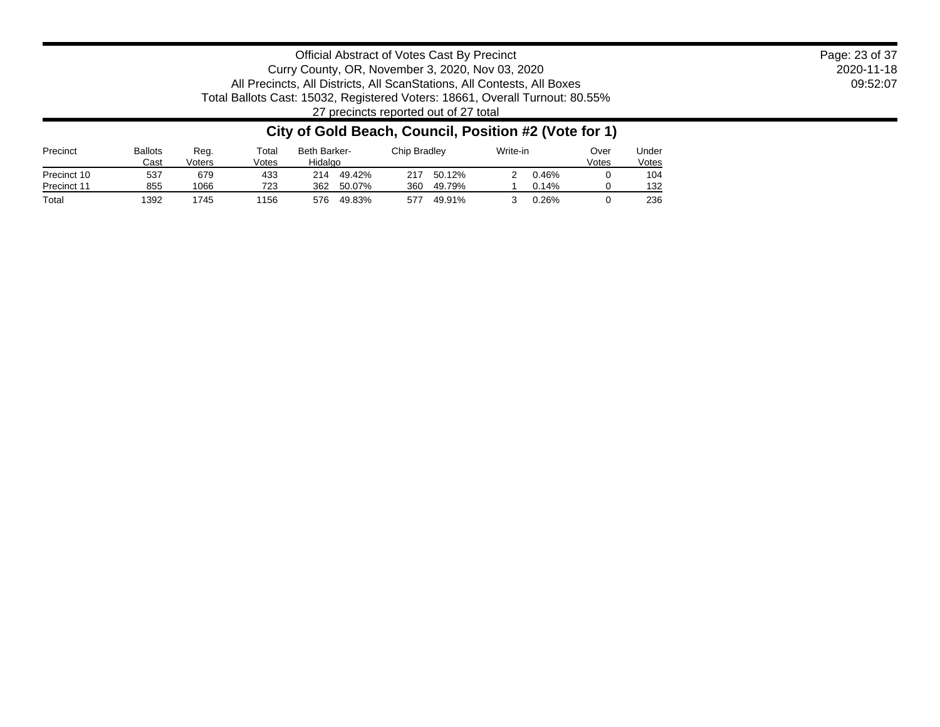2020-11-18 09:52:07 Page: 23 of 37

Official Abstract of Votes Cast By Precinct Curry County, OR, November 3, 2020, Nov 03, 2020 All Precincts, All Districts, All ScanStations, All Contests, All Boxes Total Ballots Cast: 15032, Registered Voters: 18661, Overall Turnout: 80.55% 27 precincts reported out of 27 total

### **City of Gold Beach, Council, Position #2 (Vote for 1)**

| Precinct    | <b>Ballots</b><br>Cast | Reg.<br>Voters | $\tau$ otal<br>Votes | Beth Barker-<br>Hidalgo | Chip Bradlev  | Write-in |  | Under<br>Votes |
|-------------|------------------------|----------------|----------------------|-------------------------|---------------|----------|--|----------------|
| Precinct 10 | 537                    | 679            | 433                  | 49.42%<br>214           | 217<br>50.12% | 0.46%    |  | 104            |
| Precinct 11 | 855                    | 1066           | 723                  | 362<br>50.07%           | 360<br>49.79% | 0.14%    |  | 132            |
| Total       | 1392                   | 745            | 1156                 | 576<br>49.83%           | 577<br>49.91% | 0.26%    |  | 236            |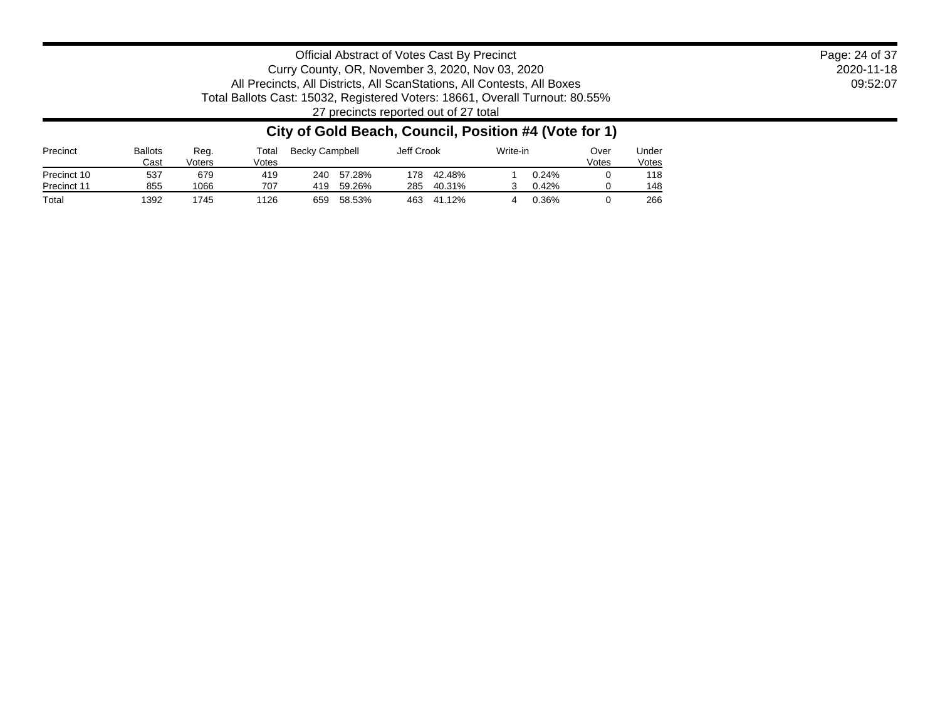2020-11-18 09:52:07 Page: 24 of 37

Official Abstract of Votes Cast By Precinct Curry County, OR, November 3, 2020, Nov 03, 2020 All Precincts, All Districts, All ScanStations, All Contests, All Boxes Total Ballots Cast: 15032, Registered Voters: 18661, Overall Turnout: 80.55% 27 precincts reported out of 27 total

### **City of Gold Beach, Council, Position #4 (Vote for 1)**

| Precinct    | <b>Ballots</b><br>Cast | Reg.<br>Voters | Total<br>Votes | Becky Campbell |        |     | Jeff Crook |  | Write-in |  |     | Over<br>Votes | Jnder<br>Votes |
|-------------|------------------------|----------------|----------------|----------------|--------|-----|------------|--|----------|--|-----|---------------|----------------|
| Precinct 10 | 537                    | 679            | 419            | 240            | 57.28% | 178 | 42.48%     |  | 0.24%    |  | 118 |               |                |
| Precinct 11 | 855                    | 1066           | 707            | 419            | 59.26% | 285 | 40.31%     |  | 0.42%    |  | 148 |               |                |
| Total       | 392                    | 745            | 1126           | 659            | 58.53% | 463 | 41.12%     |  | 0.36%    |  | 266 |               |                |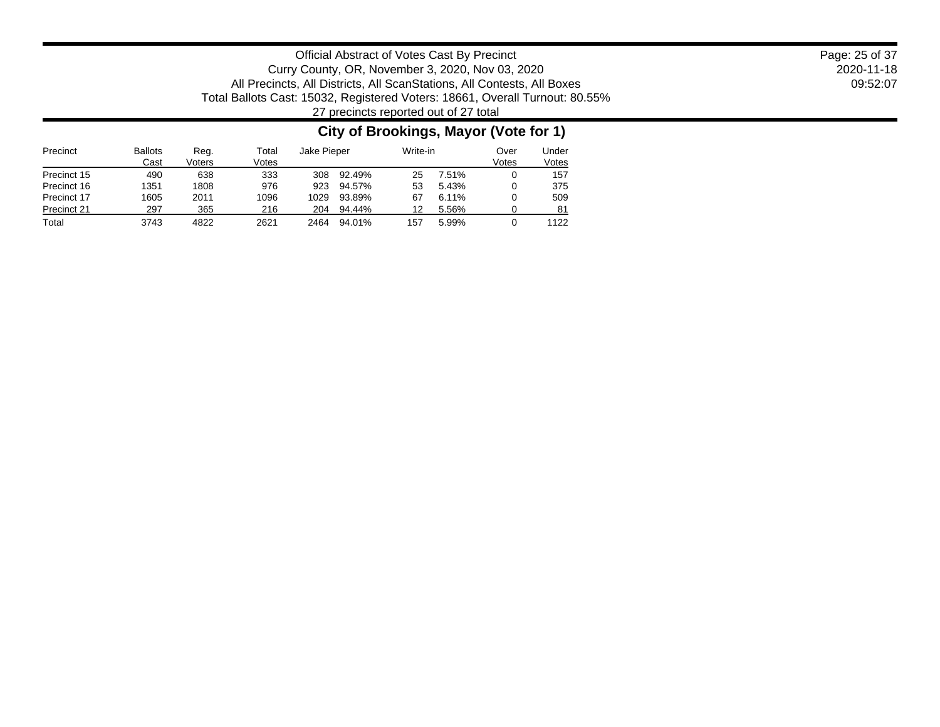2020-11-18 09:52:07 Page: 25 of 37

Official Abstract of Votes Cast By Precinct Curry County, OR, November 3, 2020, Nov 03, 2020 All Precincts, All Districts, All ScanStations, All Contests, All Boxes Total Ballots Cast: 15032, Registered Voters: 18661, Overall Turnout: 80.55% 27 precincts reported out of 27 total

### **City of Brookings, Mayor (Vote for 1)**

| Precinct    | <b>Ballots</b><br>Cast | Reg.<br>Voters | Total<br>Votes | Jake Pieper |        | Write-in |       | Over<br>Votes | Under<br>Votes |
|-------------|------------------------|----------------|----------------|-------------|--------|----------|-------|---------------|----------------|
| Precinct 15 | 490                    | 638            | 333            | 308         | 92.49% | 25       | 7.51% |               | 157            |
| Precinct 16 | 1351                   | 1808           | 976            | 923         | 94.57% | 53       | 5.43% |               | 375            |
| Precinct 17 | 1605                   | 2011           | 1096           | 1029        | 93.89% | 67       | 6.11% |               | 509            |
| Precinct 21 | 297                    | 365            | 216            | 204         | 94.44% | 12       | 5.56% |               | 81             |
| Total       | 3743                   | 4822           | 2621           | 2464        | 94.01% | 157      | 5.99% |               | 1122           |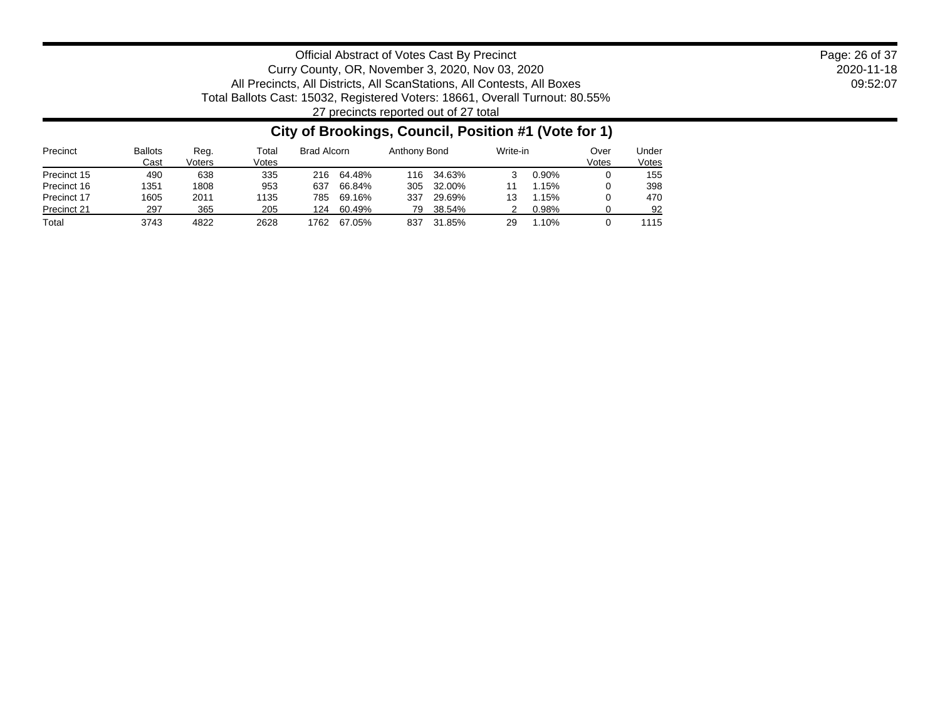2020-11-18 09:52:07 Page: 26 of 37

Official Abstract of Votes Cast By Precinct Curry County, OR, November 3, 2020, Nov 03, 2020 All Precincts, All Districts, All ScanStations, All Contests, All Boxes Total Ballots Cast: 15032, Registered Voters: 18661, Overall Turnout: 80.55% 27 precincts reported out of 27 total

### **City of Brookings, Council, Position #1 (Vote for 1)**

| Precinct    | <b>Ballots</b><br>Cast | Reg.<br>Voters | Total<br>Votes | Brad Alcorn |        | Anthony Bond |        | Write-in |       | Over<br>Votes | Under<br>Votes |
|-------------|------------------------|----------------|----------------|-------------|--------|--------------|--------|----------|-------|---------------|----------------|
| Precinct 15 | 490                    | 638            | 335            | 216         | 64.48% | 116          | 34.63% |          | 0.90% |               | 155            |
| Precinct 16 | 1351                   | 1808           | 953            | 637         | 66.84% | 305          | 32.00% |          | 1.15% |               | 398            |
| Precinct 17 | 1605                   | 2011           | 135            | 785         | 69.16% | 337          | 29.69% | 13       | l.15% |               | 470            |
| Precinct 21 | 297                    | 365            | 205            | 124         | 60.49% | 79           | 38.54% |          | 0.98% |               | 92             |
| Total       | 3743                   | 4822           | 2628           | 762         | 67.05% | 837          | 31.85% | 29       | .10%  |               | 1115           |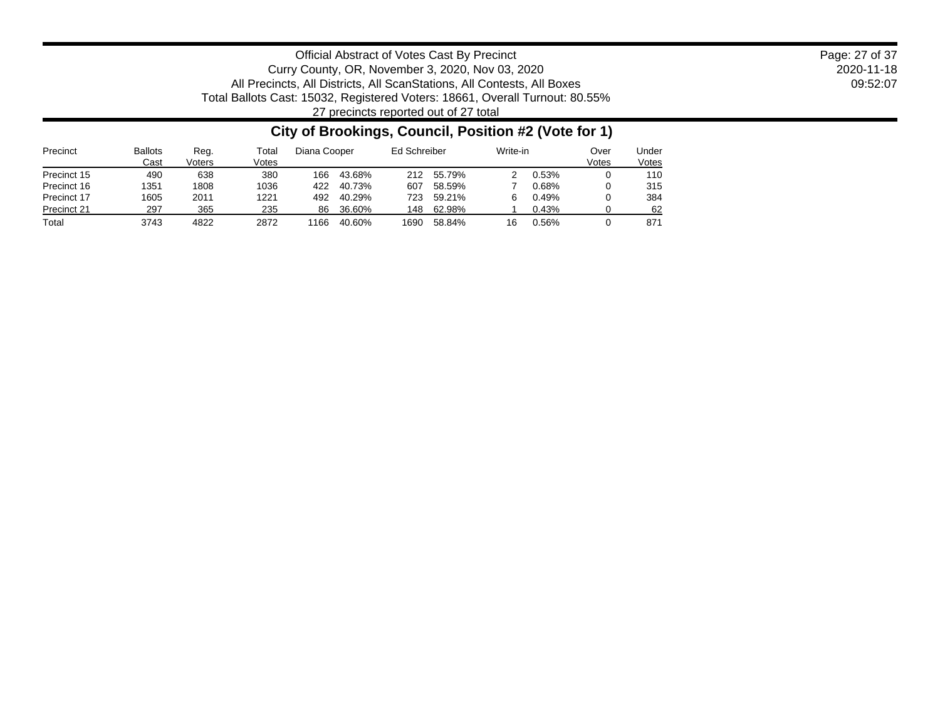2020-11-18 09:52:07 Page: 27 of 37

Official Abstract of Votes Cast By Precinct Curry County, OR, November 3, 2020, Nov 03, 2020 All Precincts, All Districts, All ScanStations, All Contests, All Boxes Total Ballots Cast: 15032, Registered Voters: 18661, Overall Turnout: 80.55% 27 precincts reported out of 27 total

### **City of Brookings, Council, Position #2 (Vote for 1)**

| Precinct    | <b>Ballots</b><br>Cast | Reg.<br>Voters | Total<br>Votes | Diana Cooper |        | Ed Schreiber |        | Write-in |       | Over<br>Votes | Jnder<br>Votes |
|-------------|------------------------|----------------|----------------|--------------|--------|--------------|--------|----------|-------|---------------|----------------|
| Precinct 15 | 490                    | 638            | 380            | 166          | 43.68% | 212          | 55.79% |          | 0.53% |               | 110            |
| Precinct 16 | 1351                   | 1808           | 1036           | 422          | 40.73% | 607          | 58.59% |          | 0.68% |               | 315            |
| Precinct 17 | 1605                   | 2011           | 1221           | 492          | 40.29% | 723          | 59.21% |          | 0.49% |               | 384            |
| Precinct 21 | 297                    | 365            | 235            | 86           | 36.60% | 148          | 62.98% |          | 0.43% |               | 62             |
| Total       | 3743                   | 4822           | 2872           | 166          | 40.60% | 1690         | 58.84% | 16       | 0.56% |               | 871            |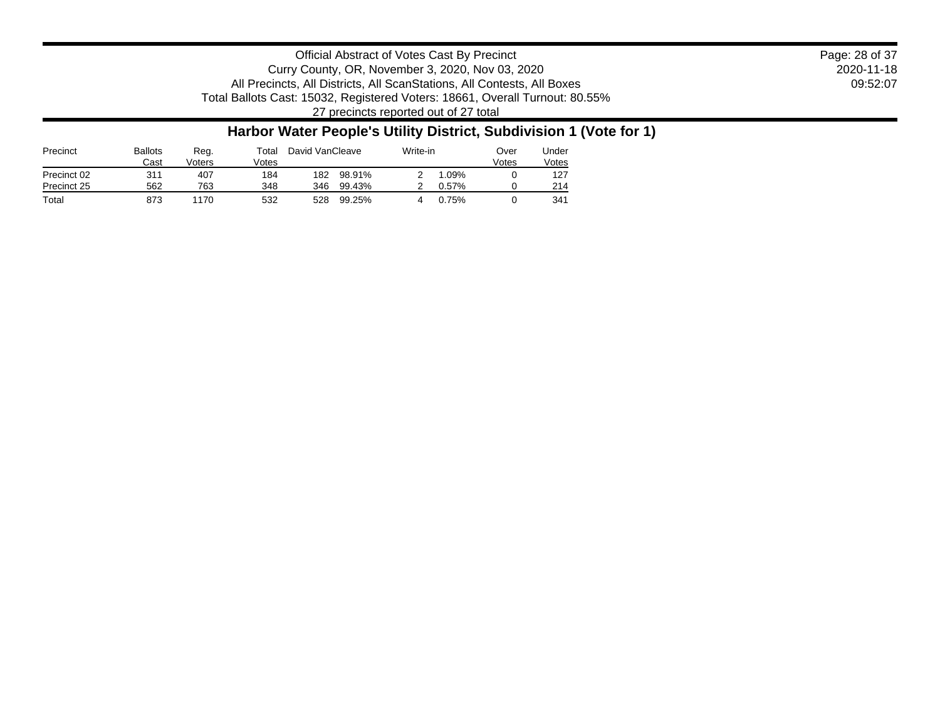2020-11-18 09:52:07 Page: 28 of 37

Official Abstract of Votes Cast By Precinct Curry County, OR, November 3, 2020, Nov 03, 2020 All Precincts, All Districts, All ScanStations, All Contests, All Boxes Total Ballots Cast: 15032, Registered Voters: 18661, Overall Turnout: 80.55% 27 precincts reported out of 27 total

### **Harbor Water People's Utility District, Subdivision 1 (Vote for 1)**

| Precinct    | <b>Ballots</b><br>Cast | Reg.<br>Voters | ™otal<br>√otes | David VanCleave |        | Write-in |  | Under<br>Votes |
|-------------|------------------------|----------------|----------------|-----------------|--------|----------|--|----------------|
| Precinct 02 | 311                    | 407            | 184            | 182             | 98.91% | .09%     |  | 127            |
| Precinct 25 | 562                    | 763            | 348            | 346             | 99.43% | 0.57%    |  | 214            |
| Total       | 873                    | 1170           | 532            | 528             | 99.25% | $0.75\%$ |  | 341            |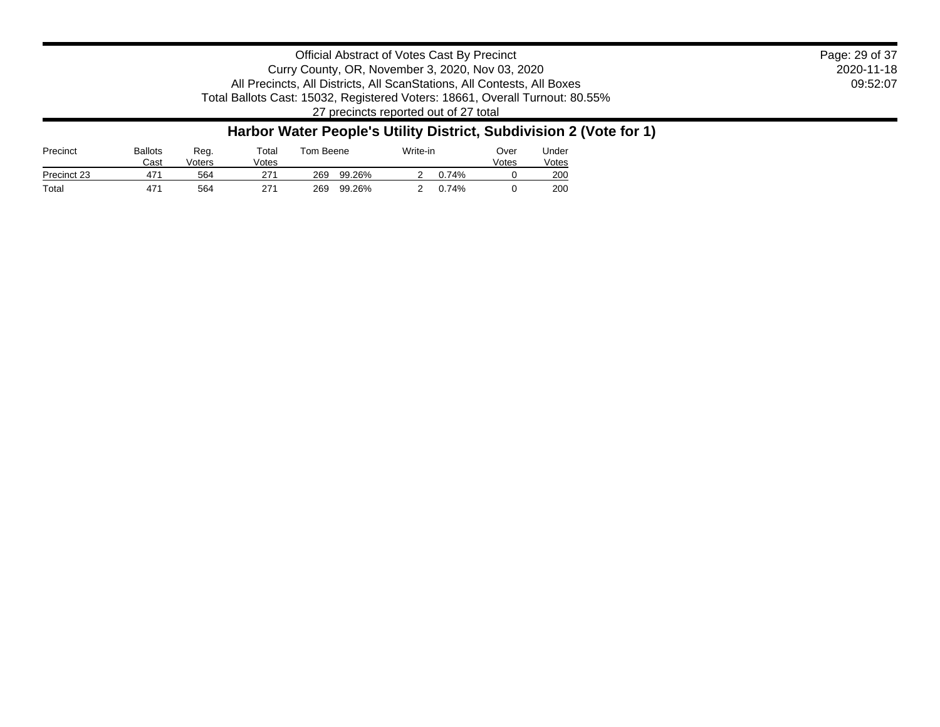2020-11-18 09:52:07 Page: 29 of 37

Official Abstract of Votes Cast By Precinct Curry County, OR, November 3, 2020, Nov 03, 2020 All Precincts, All Districts, All ScanStations, All Contests, All Boxes Total Ballots Cast: 15032, Registered Voters: 18661, Overall Turnout: 80.55% 27 precincts reported out of 27 total

### **Harbor Water People's Utility District, Subdivision 2 (Vote for 1)**

| Precinct    | Ballots<br>Cast | Reg.<br>Voters | Total<br>/otes |     | Tom Beene |  | Write-in | ⊃ver<br>Votes | Jnder<br>Votes |
|-------------|-----------------|----------------|----------------|-----|-----------|--|----------|---------------|----------------|
| Precinct 23 | 47 <sup>4</sup> | 564            | 271            | 269 | 99.26%    |  | 74%      |               | 200            |
| Total       | 471             | 564            | 271            | 269 | 99.26%    |  | 0.74%    |               | 200            |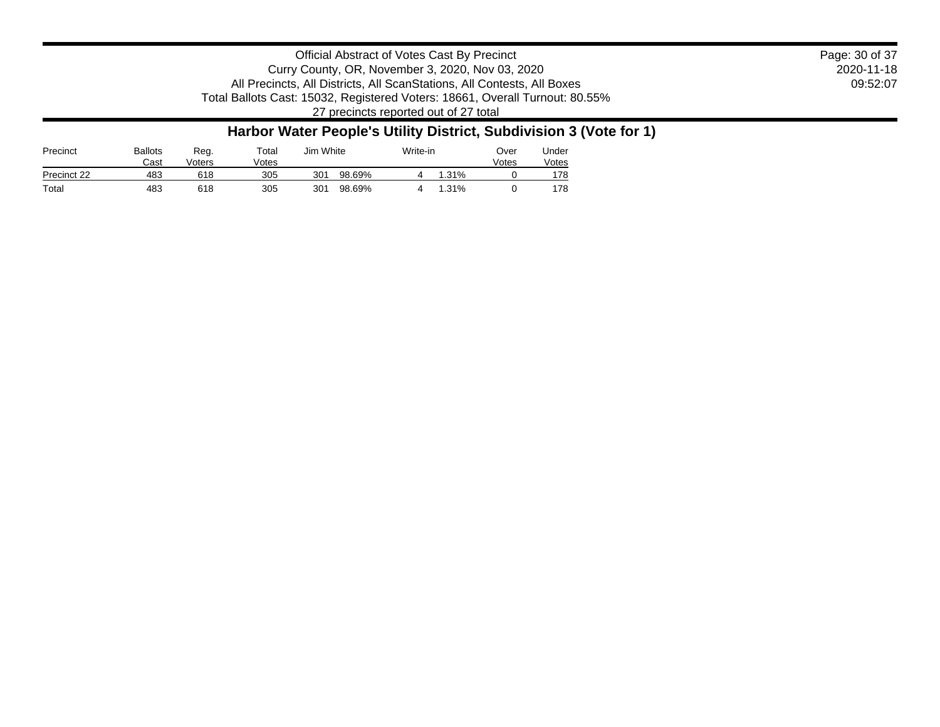2020-11-18 09:52:07 Page: 30 of 37

Official Abstract of Votes Cast By Precinct Curry County, OR, November 3, 2020, Nov 03, 2020 All Precincts, All Districts, All ScanStations, All Contests, All Boxes Total Ballots Cast: 15032, Registered Voters: 18661, Overall Turnout: 80.55% 27 precincts reported out of 27 total

### **Harbor Water People's Utility District, Subdivision 3 (Vote for 1)**

| Precinct    | Ballots<br>Cast | Reg.<br>Voters | Total<br>/otes |     | Jim White |  | Write-in | ⊃ver<br>Votes | Jnder<br>Votes |
|-------------|-----------------|----------------|----------------|-----|-----------|--|----------|---------------|----------------|
| Precinct 22 | 483             | 618            | 305            | 301 | 98.69%    |  | .31%     |               | 178            |
| Total       | 483             | 618            | 305            | 301 | 98.69%    |  | .31%     |               | 178            |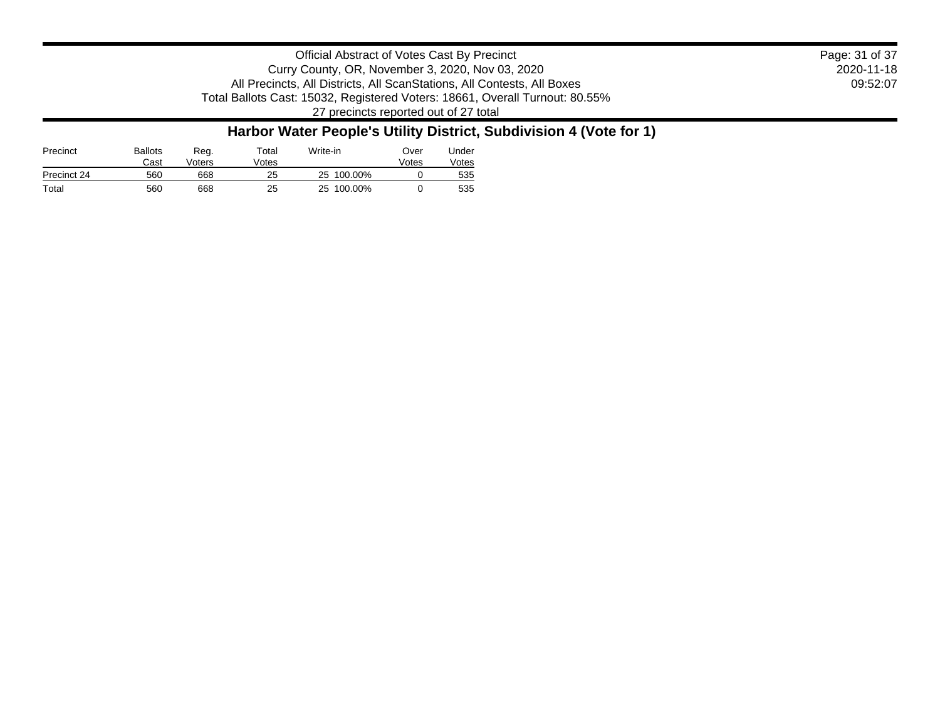| Official Abstract of Votes Cast By Precinct                                  | Page: 31 of 37 |
|------------------------------------------------------------------------------|----------------|
| Curry County, OR, November 3, 2020, Nov 03, 2020                             | 2020-11-18     |
| All Precincts, All Districts, All ScanStations, All Contests, All Boxes      | 09:52:07       |
| Total Ballots Cast: 15032, Registered Voters: 18661, Overall Turnout: 80.55% |                |

27 precincts reported out of 27 total

## **Harbor Water People's Utility District, Subdivision 4 (Vote for 1)**

| Precinct    | <b>Ballots</b><br>Cast | Reg.<br>√oters | $\tau$ otal<br>Votes | Write-in      | Over<br>Votes | Jnder<br>Votes |
|-------------|------------------------|----------------|----------------------|---------------|---------------|----------------|
| Precinct 24 | 560                    | 668            | 25                   | 100.00%<br>25 |               | 535            |
| Total       | 560                    | 668            | 25                   | 25 100.00%    |               | 535            |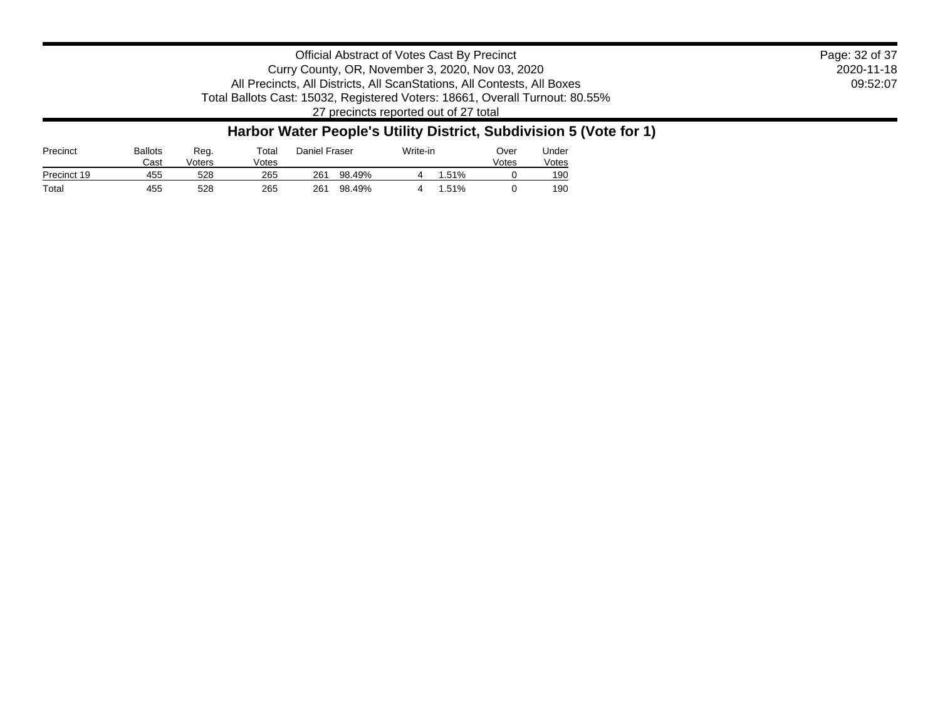2020-11-18 09:52:07 Page: 32 of 37

Official Abstract of Votes Cast By Precinct Curry County, OR, November 3, 2020, Nov 03, 2020 All Precincts, All Districts, All ScanStations, All Contests, All Boxes Total Ballots Cast: 15032, Registered Voters: 18661, Overall Turnout: 80.55% 27 precincts reported out of 27 total

### **Harbor Water People's Utility District, Subdivision 5 (Vote for 1)**

| Precinct    | <b>Ballots</b><br>Cast | Reg.<br>Voters | ™otal<br>Votes |     | Daniel Fraser |  | Write-in | ⊃ver<br>Votes | Jnder<br>√otes |
|-------------|------------------------|----------------|----------------|-----|---------------|--|----------|---------------|----------------|
| Precinct 19 | 455                    | 528            | 265            | 261 | 98.49%        |  | .51%     |               | 190            |
| Total       | 455                    | 528            | 265            | 261 | 98.49%        |  | .51%     |               | 190            |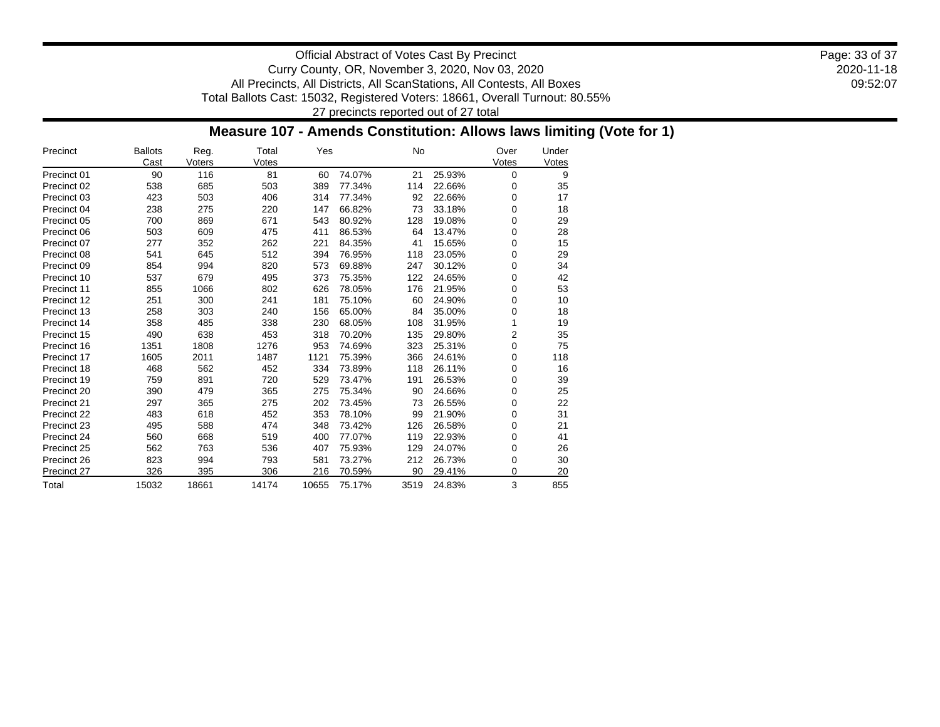2020-11-18 09:52:07 Page: 33 of 37

Official Abstract of Votes Cast By Precinct Curry County, OR, November 3, 2020, Nov 03, 2020 All Precincts, All Districts, All ScanStations, All Contests, All Boxes Total Ballots Cast: 15032, Registered Voters: 18661, Overall Turnout: 80.55% 27 precincts reported out of 27 total

### **Measure 107 - Amends Constitution: Allows laws limiting (Vote for 1)**

| Precinct    | <b>Ballots</b><br>Cast | Reg.<br>Voters | Total<br>Votes | Yes   |        | No   |        | Over<br>Votes | Under<br>Votes |
|-------------|------------------------|----------------|----------------|-------|--------|------|--------|---------------|----------------|
| Precinct 01 | 90                     | 116            | 81             | 60    | 74.07% | 21   | 25.93% | 0             | 9              |
| Precinct 02 | 538                    | 685            | 503            | 389   | 77.34% | 114  | 22.66% | 0             | 35             |
| Precinct 03 | 423                    | 503            | 406            | 314   | 77.34% | 92   | 22.66% | 0             | 17             |
| Precinct 04 | 238                    | 275            | 220            | 147   | 66.82% | 73   | 33.18% | 0             | 18             |
| Precinct 05 | 700                    | 869            | 671            | 543   | 80.92% | 128  | 19.08% | 0             | 29             |
| Precinct 06 | 503                    | 609            | 475            | 411   | 86.53% | 64   | 13.47% | 0             | 28             |
| Precinct 07 | 277                    | 352            | 262            | 221   | 84.35% | 41   | 15.65% | 0             | 15             |
| Precinct 08 | 541                    | 645            | 512            | 394   | 76.95% | 118  | 23.05% | 0             | 29             |
| Precinct 09 | 854                    | 994            | 820            | 573   | 69.88% | 247  | 30.12% | 0             | 34             |
| Precinct 10 | 537                    | 679            | 495            | 373   | 75.35% | 122  | 24.65% | 0             | 42             |
| Precinct 11 | 855                    | 1066           | 802            | 626   | 78.05% | 176  | 21.95% | 0             | 53             |
| Precinct 12 | 251                    | 300            | 241            | 181   | 75.10% | 60   | 24.90% | 0             | 10             |
| Precinct 13 | 258                    | 303            | 240            | 156   | 65.00% | 84   | 35.00% | 0             | 18             |
| Precinct 14 | 358                    | 485            | 338            | 230   | 68.05% | 108  | 31.95% | 1             | 19             |
| Precinct 15 | 490                    | 638            | 453            | 318   | 70.20% | 135  | 29.80% | 2             | 35             |
| Precinct 16 | 1351                   | 1808           | 1276           | 953   | 74.69% | 323  | 25.31% | 0             | 75             |
| Precinct 17 | 1605                   | 2011           | 1487           | 1121  | 75.39% | 366  | 24.61% | 0             | 118            |
| Precinct 18 | 468                    | 562            | 452            | 334   | 73.89% | 118  | 26.11% | 0             | 16             |
| Precinct 19 | 759                    | 891            | 720            | 529   | 73.47% | 191  | 26.53% | 0             | 39             |
| Precinct 20 | 390                    | 479            | 365            | 275   | 75.34% | 90   | 24.66% | 0             | 25             |
| Precinct 21 | 297                    | 365            | 275            | 202   | 73.45% | 73   | 26.55% | 0             | 22             |
| Precinct 22 | 483                    | 618            | 452            | 353   | 78.10% | 99   | 21.90% | 0             | 31             |
| Precinct 23 | 495                    | 588            | 474            | 348   | 73.42% | 126  | 26.58% | 0             | 21             |
| Precinct 24 | 560                    | 668            | 519            | 400   | 77.07% | 119  | 22.93% | 0             | 41             |
| Precinct 25 | 562                    | 763            | 536            | 407   | 75.93% | 129  | 24.07% | 0             | 26             |
| Precinct 26 | 823                    | 994            | 793            | 581   | 73.27% | 212  | 26.73% | 0             | 30             |
| Precinct 27 | 326                    | 395            | 306            | 216   | 70.59% | 90   | 29.41% | 0             | 20             |
| Total       | 15032                  | 18661          | 14174          | 10655 | 75.17% | 3519 | 24.83% | 3             | 855            |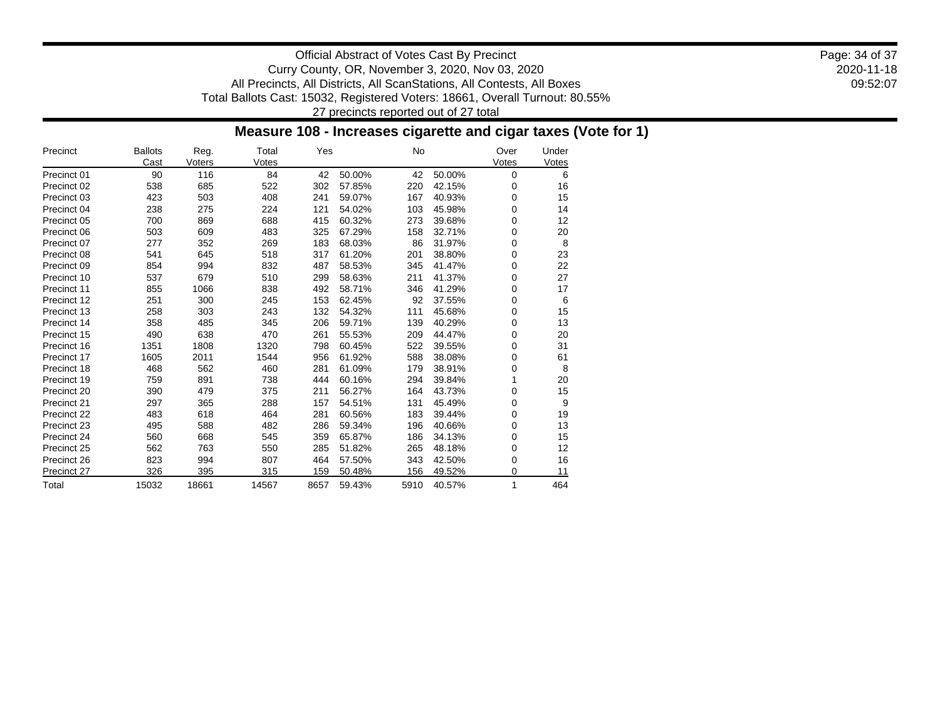2020-11-18 09:52:07 Page: 34 of 37

Official Abstract of Votes Cast By Precinct Curry County, OR, November 3, 2020, Nov 03, 2020 All Precincts, All Districts, All ScanStations, All Contests, All Boxes Total Ballots Cast: 15032, Registered Voters: 18661, Overall Turnout: 80.55% 27 precincts reported out of 27 total

### **Measure 108 - Increases cigarette and cigar taxes (Vote for 1)**

| Precinct    | <b>Ballots</b><br>Cast | Reg.<br>Voters | Total<br>Votes | Yes  |        | No   |        | Over<br>Votes | Under<br>Votes |
|-------------|------------------------|----------------|----------------|------|--------|------|--------|---------------|----------------|
| Precinct 01 | 90                     | 116            | 84             | 42   | 50.00% | 42   | 50.00% | 0             | 6              |
| Precinct 02 | 538                    | 685            | 522            | 302  | 57.85% | 220  | 42.15% | 0             | 16             |
| Precinct 03 | 423                    | 503            | 408            | 241  | 59.07% | 167  | 40.93% | 0             | 15             |
| Precinct 04 | 238                    | 275            | 224            | 121  | 54.02% | 103  | 45.98% | 0             | 14             |
| Precinct 05 | 700                    | 869            | 688            | 415  | 60.32% | 273  | 39.68% | 0             | 12             |
| Precinct 06 | 503                    | 609            | 483            | 325  | 67.29% | 158  | 32.71% | 0             | 20             |
| Precinct 07 | 277                    | 352            | 269            | 183  | 68.03% | 86   | 31.97% | 0             | 8              |
| Precinct 08 | 541                    | 645            | 518            | 317  | 61.20% | 201  | 38.80% | 0             | 23             |
| Precinct 09 | 854                    | 994            | 832            | 487  | 58.53% | 345  | 41.47% | 0             | 22             |
| Precinct 10 | 537                    | 679            | 510            | 299  | 58.63% | 211  | 41.37% | 0             | 27             |
| Precinct 11 | 855                    | 1066           | 838            | 492  | 58.71% | 346  | 41.29% | 0             | 17             |
| Precinct 12 | 251                    | 300            | 245            | 153  | 62.45% | 92   | 37.55% | 0             | 6              |
| Precinct 13 | 258                    | 303            | 243            | 132  | 54.32% | 111  | 45.68% | 0             | 15             |
| Precinct 14 | 358                    | 485            | 345            | 206  | 59.71% | 139  | 40.29% | 0             | 13             |
| Precinct 15 | 490                    | 638            | 470            | 261  | 55.53% | 209  | 44.47% | 0             | 20             |
| Precinct 16 | 1351                   | 1808           | 1320           | 798  | 60.45% | 522  | 39.55% | 0             | 31             |
| Precinct 17 | 1605                   | 2011           | 1544           | 956  | 61.92% | 588  | 38.08% | 0             | 61             |
| Precinct 18 | 468                    | 562            | 460            | 281  | 61.09% | 179  | 38.91% | 0             | 8              |
| Precinct 19 | 759                    | 891            | 738            | 444  | 60.16% | 294  | 39.84% | 1             | 20             |
| Precinct 20 | 390                    | 479            | 375            | 211  | 56.27% | 164  | 43.73% | 0             | 15             |
| Precinct 21 | 297                    | 365            | 288            | 157  | 54.51% | 131  | 45.49% | 0             | 9              |
| Precinct 22 | 483                    | 618            | 464            | 281  | 60.56% | 183  | 39.44% | 0             | 19             |
| Precinct 23 | 495                    | 588            | 482            | 286  | 59.34% | 196  | 40.66% | 0             | 13             |
| Precinct 24 | 560                    | 668            | 545            | 359  | 65.87% | 186  | 34.13% | 0             | 15             |
| Precinct 25 | 562                    | 763            | 550            | 285  | 51.82% | 265  | 48.18% | 0             | 12             |
| Precinct 26 | 823                    | 994            | 807            | 464  | 57.50% | 343  | 42.50% | 0             | 16             |
| Precinct 27 | 326                    | 395            | 315            | 159  | 50.48% | 156  | 49.52% | 0             | 11             |
| Total       | 15032                  | 18661          | 14567          | 8657 | 59.43% | 5910 | 40.57% | 1             | 464            |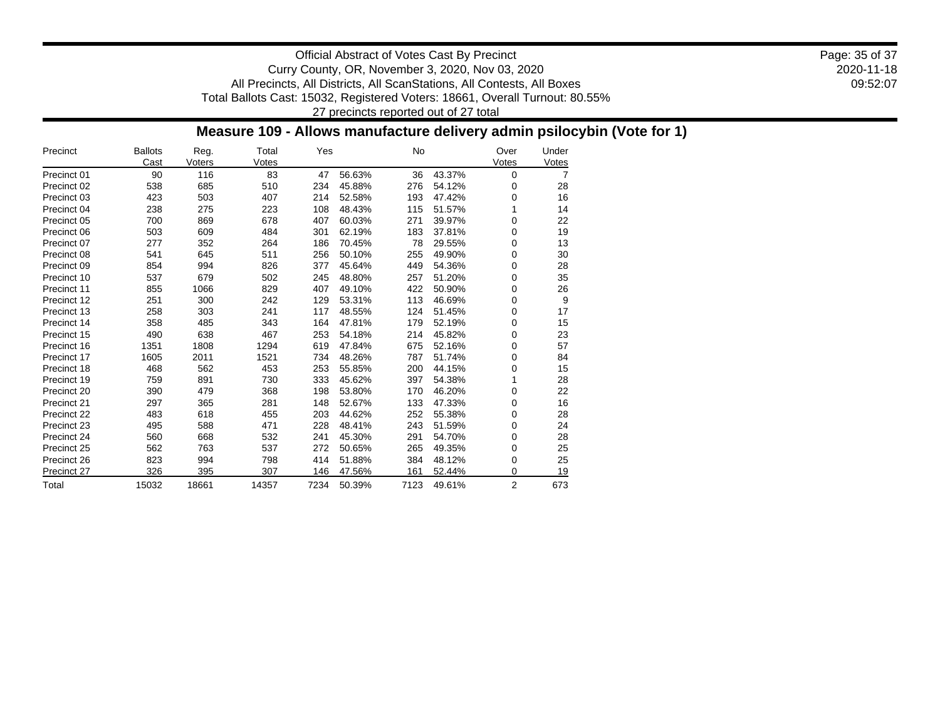2020-11-18 09:52:07 Page: 35 of 37

Official Abstract of Votes Cast By Precinct Curry County, OR, November 3, 2020, Nov 03, 2020 All Precincts, All Districts, All ScanStations, All Contests, All Boxes Total Ballots Cast: 15032, Registered Voters: 18661, Overall Turnout: 80.55% 27 precincts reported out of 27 total

### **Measure 109 - Allows manufacture delivery admin psilocybin (Vote for 1)**

| Precinct    | <b>Ballots</b><br>Cast | Reg.<br>Voters | Total<br>Votes | Yes  |        | No   |        | Over<br>Votes | Under<br>Votes |
|-------------|------------------------|----------------|----------------|------|--------|------|--------|---------------|----------------|
| Precinct 01 | 90                     | 116            | 83             | 47   | 56.63% | 36   | 43.37% | 0             | 7              |
| Precinct 02 | 538                    | 685            | 510            | 234  | 45.88% | 276  | 54.12% | 0             | 28             |
| Precinct 03 | 423                    | 503            | 407            | 214  | 52.58% | 193  | 47.42% | 0             | 16             |
| Precinct 04 | 238                    | 275            | 223            | 108  | 48.43% | 115  | 51.57% | 1             | 14             |
| Precinct 05 | 700                    | 869            | 678            | 407  | 60.03% | 271  | 39.97% | 0             | 22             |
| Precinct 06 | 503                    | 609            | 484            | 301  | 62.19% | 183  | 37.81% | 0             | 19             |
| Precinct 07 | 277                    | 352            | 264            | 186  | 70.45% | 78   | 29.55% | 0             | 13             |
| Precinct 08 | 541                    | 645            | 511            | 256  | 50.10% | 255  | 49.90% | 0             | 30             |
| Precinct 09 | 854                    | 994            | 826            | 377  | 45.64% | 449  | 54.36% | 0             | 28             |
| Precinct 10 | 537                    | 679            | 502            | 245  | 48.80% | 257  | 51.20% | 0             | 35             |
| Precinct 11 | 855                    | 1066           | 829            | 407  | 49.10% | 422  | 50.90% | 0             | 26             |
| Precinct 12 | 251                    | 300            | 242            | 129  | 53.31% | 113  | 46.69% | 0             | 9              |
| Precinct 13 | 258                    | 303            | 241            | 117  | 48.55% | 124  | 51.45% | 0             | 17             |
| Precinct 14 | 358                    | 485            | 343            | 164  | 47.81% | 179  | 52.19% | 0             | 15             |
| Precinct 15 | 490                    | 638            | 467            | 253  | 54.18% | 214  | 45.82% | 0             | 23             |
| Precinct 16 | 1351                   | 1808           | 1294           | 619  | 47.84% | 675  | 52.16% | 0             | 57             |
| Precinct 17 | 1605                   | 2011           | 1521           | 734  | 48.26% | 787  | 51.74% | 0             | 84             |
| Precinct 18 | 468                    | 562            | 453            | 253  | 55.85% | 200  | 44.15% | 0             | 15             |
| Precinct 19 | 759                    | 891            | 730            | 333  | 45.62% | 397  | 54.38% | 1             | 28             |
| Precinct 20 | 390                    | 479            | 368            | 198  | 53.80% | 170  | 46.20% | 0             | 22             |
| Precinct 21 | 297                    | 365            | 281            | 148  | 52.67% | 133  | 47.33% | 0             | 16             |
| Precinct 22 | 483                    | 618            | 455            | 203  | 44.62% | 252  | 55.38% | 0             | 28             |
| Precinct 23 | 495                    | 588            | 471            | 228  | 48.41% | 243  | 51.59% | 0             | 24             |
| Precinct 24 | 560                    | 668            | 532            | 241  | 45.30% | 291  | 54.70% | 0             | 28             |
| Precinct 25 | 562                    | 763            | 537            | 272  | 50.65% | 265  | 49.35% | 0             | 25             |
| Precinct 26 | 823                    | 994            | 798            | 414  | 51.88% | 384  | 48.12% | 0             | 25             |
| Precinct 27 | 326                    | 395            | 307            | 146  | 47.56% | 161  | 52.44% | 0             | 19             |
| Total       | 15032                  | 18661          | 14357          | 7234 | 50.39% | 7123 | 49.61% | 2             | 673            |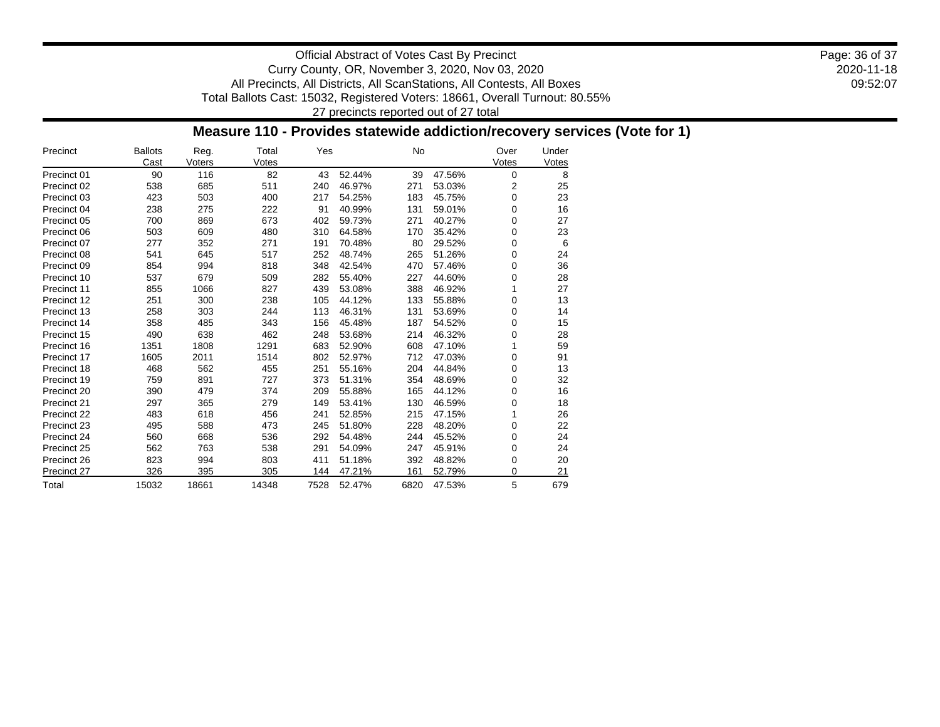2020-11-18 09:52:07 Page: 36 of 37

Official Abstract of Votes Cast By Precinct Curry County, OR, November 3, 2020, Nov 03, 2020 All Precincts, All Districts, All ScanStations, All Contests, All Boxes Total Ballots Cast: 15032, Registered Voters: 18661, Overall Turnout: 80.55% 27 precincts reported out of 27 total

### **Measure 110 - Provides statewide addiction/recovery services (Vote for 1)**

| Precinct    | <b>Ballots</b><br>Cast | Reg.<br>Voters | Total<br>Votes | Yes  |        | <b>No</b> |        | Over<br>Votes | Under<br>Votes |
|-------------|------------------------|----------------|----------------|------|--------|-----------|--------|---------------|----------------|
| Precinct 01 | 90                     | 116            | 82             | 43   | 52.44% | 39        | 47.56% | 0             | 8              |
| Precinct 02 | 538                    | 685            | 511            | 240  | 46.97% | 271       | 53.03% | 2             | 25             |
| Precinct 03 | 423                    | 503            | 400            | 217  | 54.25% | 183       | 45.75% | 0             | 23             |
| Precinct 04 | 238                    | 275            | 222            | 91   | 40.99% | 131       | 59.01% | 0             | 16             |
| Precinct 05 | 700                    | 869            | 673            | 402  | 59.73% | 271       | 40.27% | 0             | 27             |
| Precinct 06 | 503                    | 609            | 480            | 310  | 64.58% | 170       | 35.42% | 0             | 23             |
| Precinct 07 | 277                    | 352            | 271            | 191  | 70.48% | 80        | 29.52% | 0             | 6              |
| Precinct 08 | 541                    | 645            | 517            | 252  | 48.74% | 265       | 51.26% | 0             | 24             |
| Precinct 09 | 854                    | 994            | 818            | 348  | 42.54% | 470       | 57.46% | 0             | 36             |
| Precinct 10 | 537                    | 679            | 509            | 282  | 55.40% | 227       | 44.60% | 0             | 28             |
| Precinct 11 | 855                    | 1066           | 827            | 439  | 53.08% | 388       | 46.92% | 1             | 27             |
| Precinct 12 | 251                    | 300            | 238            | 105  | 44.12% | 133       | 55.88% | 0             | 13             |
| Precinct 13 | 258                    | 303            | 244            | 113  | 46.31% | 131       | 53.69% | 0             | 14             |
| Precinct 14 | 358                    | 485            | 343            | 156  | 45.48% | 187       | 54.52% | 0             | 15             |
| Precinct 15 | 490                    | 638            | 462            | 248  | 53.68% | 214       | 46.32% | 0             | 28             |
| Precinct 16 | 1351                   | 1808           | 1291           | 683  | 52.90% | 608       | 47.10% | 1             | 59             |
| Precinct 17 | 1605                   | 2011           | 1514           | 802  | 52.97% | 712       | 47.03% | 0             | 91             |
| Precinct 18 | 468                    | 562            | 455            | 251  | 55.16% | 204       | 44.84% | 0             | 13             |
| Precinct 19 | 759                    | 891            | 727            | 373  | 51.31% | 354       | 48.69% | 0             | 32             |
| Precinct 20 | 390                    | 479            | 374            | 209  | 55.88% | 165       | 44.12% | 0             | 16             |
| Precinct 21 | 297                    | 365            | 279            | 149  | 53.41% | 130       | 46.59% | 0             | 18             |
| Precinct 22 | 483                    | 618            | 456            | 241  | 52.85% | 215       | 47.15% | 1             | 26             |
| Precinct 23 | 495                    | 588            | 473            | 245  | 51.80% | 228       | 48.20% | 0             | 22             |
| Precinct 24 | 560                    | 668            | 536            | 292  | 54.48% | 244       | 45.52% | 0             | 24             |
| Precinct 25 | 562                    | 763            | 538            | 291  | 54.09% | 247       | 45.91% | 0             | 24             |
| Precinct 26 | 823                    | 994            | 803            | 411  | 51.18% | 392       | 48.82% | 0             | 20             |
| Precinct 27 | 326                    | 395            | 305            | 144  | 47.21% | 161       | 52.79% | 0             | 21             |
| Total       | 15032                  | 18661          | 14348          | 7528 | 52.47% | 6820      | 47.53% | 5             | 679            |